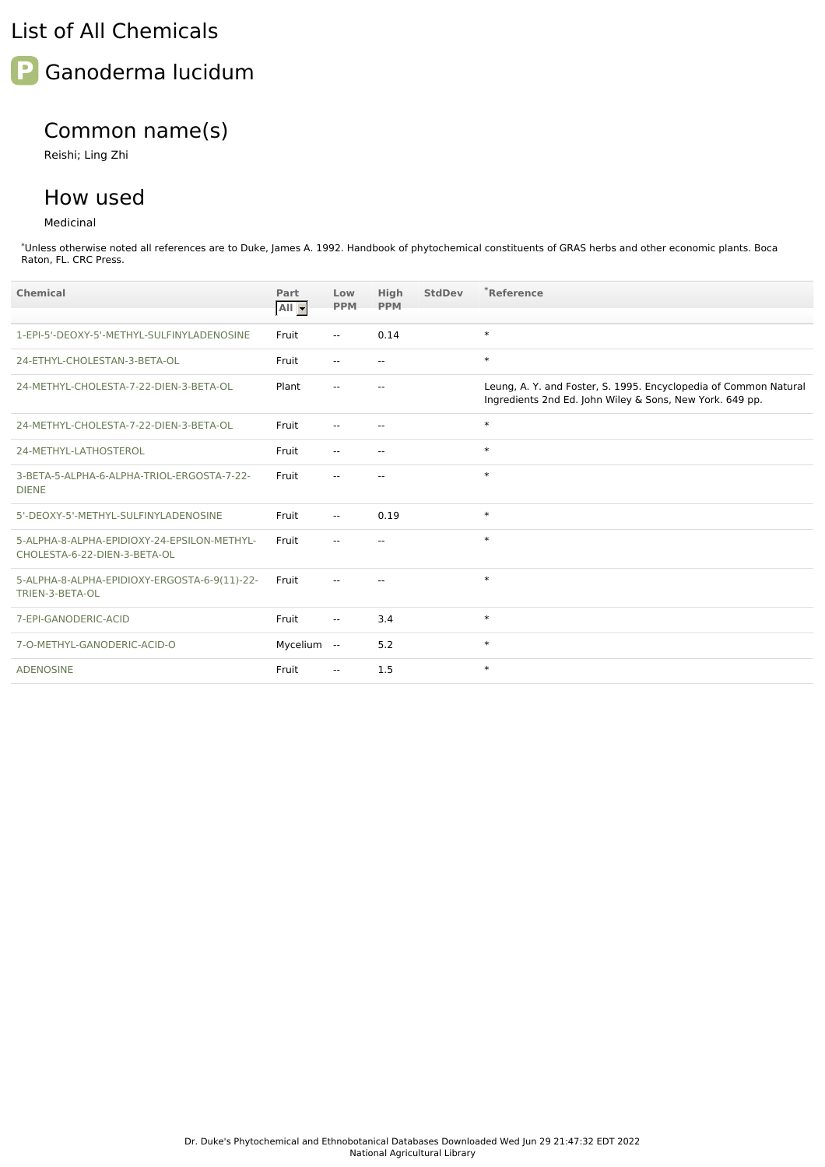## List of All Chemicals



## Common name(s)

Reishi; Ling Zhi

## How used

Medicinal

\*Unless otherwise noted all references are to Duke, James A. 1992. Handbook of phytochemical constituents of GRAS herbs and other economic plants. Boca Raton, FL. CRC Press.

| Chemical                                                                    | Part<br>AII - | Low<br><b>PPM</b>        | <b>High</b><br><b>PPM</b> | <b>StdDev</b> | *Reference                                                                                                                   |
|-----------------------------------------------------------------------------|---------------|--------------------------|---------------------------|---------------|------------------------------------------------------------------------------------------------------------------------------|
|                                                                             |               |                          |                           |               |                                                                                                                              |
| 1-EPI-5'-DEOXY-5'-METHYL-SULFINYLADENOSINE                                  | Fruit         | $\mathbf{u}$             | 0.14                      |               | $\ast$                                                                                                                       |
| 24-ETHYL-CHOLESTAN-3-BETA-OL                                                | Fruit         | $\overline{a}$           | $\sim$ $\sim$             |               | $\ast$                                                                                                                       |
| 24-METHYL-CHOLESTA-7-22-DIEN-3-BETA-OL                                      | Plant         |                          |                           |               | Leung, A. Y. and Foster, S. 1995. Encyclopedia of Common Natural<br>Ingredients 2nd Ed. John Wiley & Sons, New York. 649 pp. |
| 24-METHYL-CHOLESTA-7-22-DIEN-3-BETA-OL                                      | Fruit         | $\overline{a}$           | $\sim$ $\sim$             |               | $\ast$                                                                                                                       |
| 24-METHYL-LATHOSTEROL                                                       | Fruit         | $\sim$ $\sim$            | $\sim$ $\sim$             |               | $\ast$                                                                                                                       |
| 3-BETA-5-ALPHA-6-ALPHA-TRIOL-ERGOSTA-7-22-<br><b>DIENE</b>                  | Fruit         | --                       | $-$                       |               | $\ast$                                                                                                                       |
| 5'-DEOXY-5'-METHYL-SULFINYLADENOSINE                                        | Fruit         | $\mathbf{u}$             | 0.19                      |               | $\ast$                                                                                                                       |
| 5-ALPHA-8-ALPHA-EPIDIOXY-24-EPSILON-METHYL-<br>CHOLESTA-6-22-DIEN-3-BETA-OL | Fruit         | --                       | $-$                       |               | $\ast$                                                                                                                       |
| 5-ALPHA-8-ALPHA-EPIDIOXY-ERGOSTA-6-9(11)-22-<br>TRIEN-3-BETA-OL             | Fruit         |                          |                           |               | $\ast$                                                                                                                       |
| 7-EPI-GANODERIC-ACID                                                        | Fruit         | $\mathbf{u}$             | 3.4                       |               | $\ast$                                                                                                                       |
| 7-O-METHYL-GANODERIC-ACID-O                                                 | Mycelium      | $\sim$                   | 5.2                       |               | $\ast$                                                                                                                       |
| <b>ADENOSINE</b>                                                            | Fruit         | $\overline{\phantom{a}}$ | 1.5                       |               | $\ast$                                                                                                                       |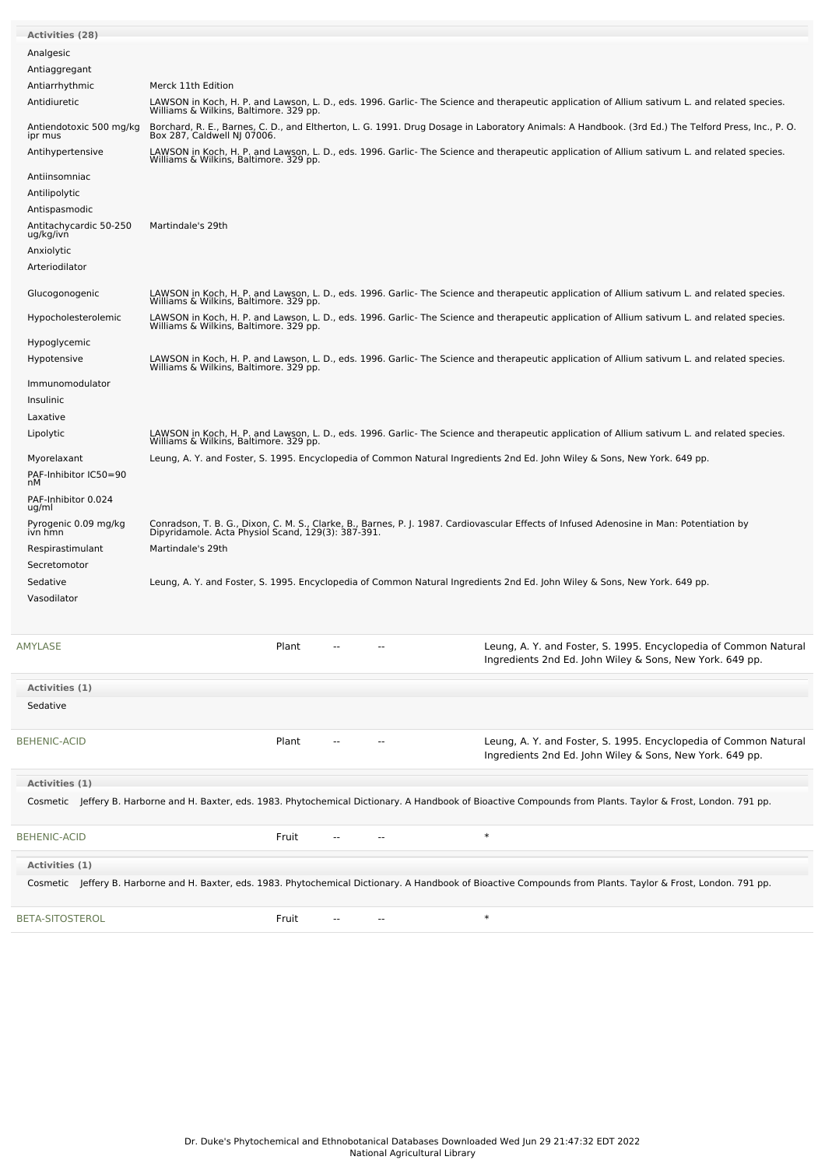| <b>Activities (28)</b>               |                                                              |       |    |  |                                                                                                                                                                                         |
|--------------------------------------|--------------------------------------------------------------|-------|----|--|-----------------------------------------------------------------------------------------------------------------------------------------------------------------------------------------|
| Analgesic                            |                                                              |       |    |  |                                                                                                                                                                                         |
| Antiaggregant                        |                                                              |       |    |  |                                                                                                                                                                                         |
| Antiarrhythmic<br>Antidiuretic       | Merck 11th Edition<br>Williams & Wilkins, Baltimore. 329 pp. |       |    |  | LAWSON in Koch, H. P. and Lawson, L. D., eds. 1996. Garlic-The Science and therapeutic application of Allium sativum L. and related species.                                            |
| Antiendotoxic 500 mg/kg<br>ipr mus   | Box 287, Caldwell NJ 07006.                                  |       |    |  | Borchard, R. E., Barnes, C. D., and Eltherton, L. G. 1991. Drug Dosage in Laboratory Animals: A Handbook. (3rd Ed.) The Telford Press, Inc., P. O.                                      |
| Antihypertensive                     |                                                              |       |    |  | LAWSON in Koch, H. P. and Lawson, L. D., eds. 1996. Garlic- The Science and therapeutic application of Allium sativum L. and related species.<br>Williams & Wilkins, Baltimore. 329 pp. |
| Antiinsomniac                        |                                                              |       |    |  |                                                                                                                                                                                         |
| Antilipolytic                        |                                                              |       |    |  |                                                                                                                                                                                         |
| Antispasmodic                        |                                                              |       |    |  |                                                                                                                                                                                         |
| Antitachycardic 50-250<br>ug/kg/ivn  | Martindale's 29th                                            |       |    |  |                                                                                                                                                                                         |
| Anxiolytic                           |                                                              |       |    |  |                                                                                                                                                                                         |
| Arteriodilator                       |                                                              |       |    |  |                                                                                                                                                                                         |
| Glucogonogenic                       | Williams & Wilkins, Baltimore. 329 pp.                       |       |    |  | LAWSON in Koch, H. P. and Lawson, L. D., eds. 1996. Garlic-The Science and therapeutic application of Allium sativum L. and related species.                                            |
| Hypocholesterolemic                  | Williams & Wilkins, Baltimore. 329 pp.                       |       |    |  | LAWSON in Koch, H. P. and Lawson, L. D., eds. 1996. Garlic- The Science and therapeutic application of Allium sativum L. and related species.                                           |
| Hypoglycemic                         |                                                              |       |    |  |                                                                                                                                                                                         |
| Hypotensive                          | Williams & Wilkins, Baltimore. 329 pp.                       |       |    |  | LAWSON in Koch, H. P. and Lawson, L. D., eds. 1996. Garlic-The Science and therapeutic application of Allium sativum L. and related species.                                            |
| Immunomodulator                      |                                                              |       |    |  |                                                                                                                                                                                         |
| <b>Insulinic</b><br>Laxative         |                                                              |       |    |  |                                                                                                                                                                                         |
| Lipolytic                            |                                                              |       |    |  | LAWSON in Koch, H. P. and Lawson, L. D., eds. 1996. Garlic-The Science and therapeutic application of Allium sativum L. and related species.                                            |
|                                      | Williams & Wilkins, Baltimore. 329 pp.                       |       |    |  |                                                                                                                                                                                         |
| Myorelaxant<br>PAF-Inhibitor IC50=90 |                                                              |       |    |  | Leung, A. Y. and Foster, S. 1995. Encyclopedia of Common Natural Ingredients 2nd Ed. John Wiley & Sons, New York. 649 pp.                                                               |
| nМ<br>PAF-Inhibitor 0.024            |                                                              |       |    |  |                                                                                                                                                                                         |
| ug/ml                                |                                                              |       |    |  |                                                                                                                                                                                         |
| Pyrogenic 0.09 mg/kg<br>ivn hmn      | Dipyridamole. Acta Physiol Scand, 129(3): 387-391.           |       |    |  | Conradson, T. B. G., Dixon, C. M. S., Clarke, B., Barnes, P. J. 1987. Cardiovascular Effects of Infused Adenosine in Man: Potentiation by                                               |
| Respirastimulant                     | Martindale's 29th                                            |       |    |  |                                                                                                                                                                                         |
| Secretomotor                         |                                                              |       |    |  |                                                                                                                                                                                         |
| Sedative<br>Vasodilator              |                                                              |       |    |  | Leung, A. Y. and Foster, S. 1995. Encyclopedia of Common Natural Ingredients 2nd Ed. John Wiley & Sons, New York. 649 pp.                                                               |
|                                      |                                                              |       |    |  |                                                                                                                                                                                         |
| AMYLASE                              |                                                              | Plant |    |  | Leung, A. Y. and Foster, S. 1995. Encyclopedia of Common Natural<br>Ingredients 2nd Ed. John Wiley & Sons, New York. 649 pp.                                                            |
|                                      |                                                              |       |    |  |                                                                                                                                                                                         |
| Activities (1)<br>Sedative           |                                                              |       |    |  |                                                                                                                                                                                         |
|                                      |                                                              |       |    |  |                                                                                                                                                                                         |
| <b>BEHENIC-ACID</b>                  |                                                              | Plant |    |  | Leung, A. Y. and Foster, S. 1995. Encyclopedia of Common Natural<br>Ingredients 2nd Ed. John Wiley & Sons, New York. 649 pp.                                                            |
| Activities (1)                       |                                                              |       |    |  |                                                                                                                                                                                         |
|                                      |                                                              |       |    |  | Cosmetic Jeffery B. Harborne and H. Baxter, eds. 1983. Phytochemical Dictionary. A Handbook of Bioactive Compounds from Plants. Taylor & Frost, London. 791 pp.                         |
| <b>BEHENIC-ACID</b>                  |                                                              | Fruit |    |  | $\ast$                                                                                                                                                                                  |
| Activities (1)                       |                                                              |       |    |  |                                                                                                                                                                                         |
|                                      |                                                              |       |    |  | Cosmetic Jeffery B. Harborne and H. Baxter, eds. 1983. Phytochemical Dictionary. A Handbook of Bioactive Compounds from Plants. Taylor & Frost, London. 791 pp.                         |
| BETA-SITOSTEROL                      |                                                              | Fruit | -- |  | $\ast$                                                                                                                                                                                  |
|                                      |                                                              |       |    |  |                                                                                                                                                                                         |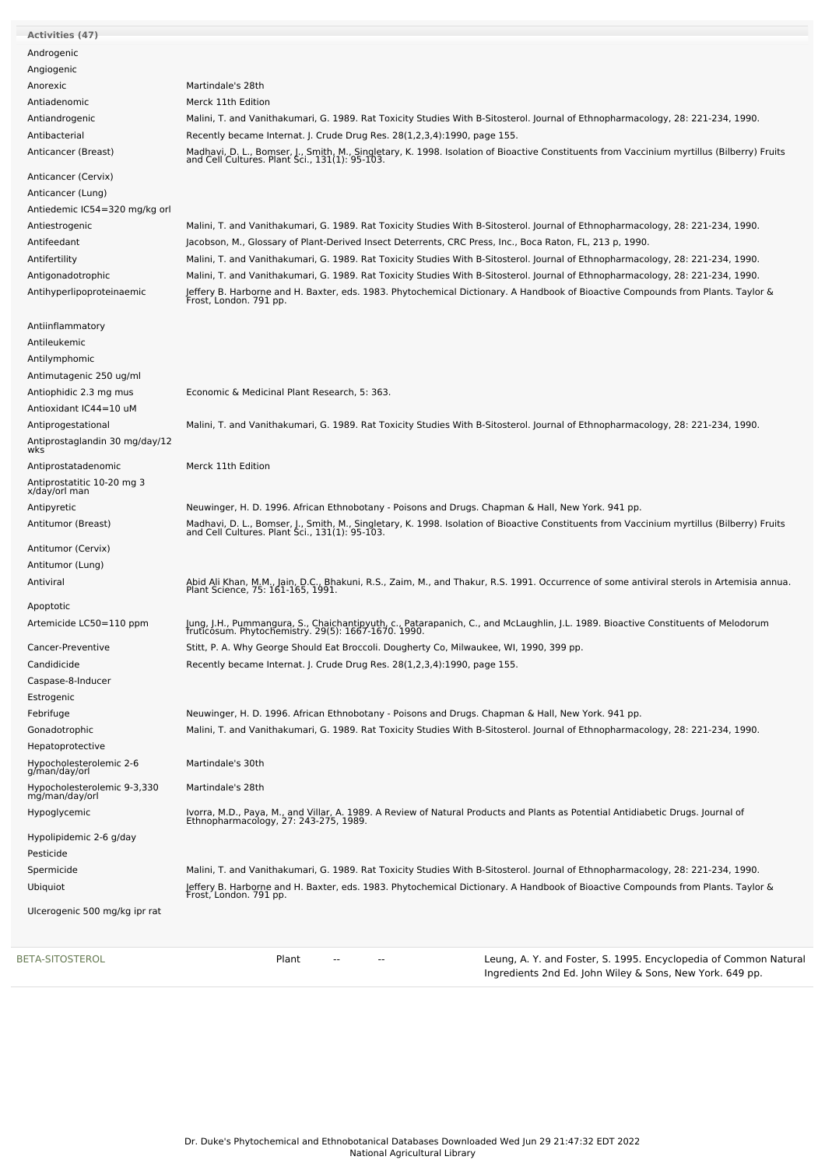| BETA-SITOSTEROL                                               | Leung, A. Y. and Foster, S. 1995. Encyclopedia of Common Natural<br>Plant<br>--<br>--                                                                                                                                                |
|---------------------------------------------------------------|--------------------------------------------------------------------------------------------------------------------------------------------------------------------------------------------------------------------------------------|
| Ulcerogenic 500 mg/kg ipr rat                                 |                                                                                                                                                                                                                                      |
| Ubiquiot                                                      | Jeffery B. Harborne and H. Baxter, eds. 1983. Phytochemical Dictionary. A Handbook of Bioactive Compounds from Plants. Taylor &<br>Frost, London. 791 pp.                                                                            |
| Spermicide                                                    | Malini, T. and Vanithakumari, G. 1989. Rat Toxicity Studies With B-Sitosterol. Journal of Ethnopharmacology, 28: 221-234, 1990.                                                                                                      |
| Pesticide                                                     |                                                                                                                                                                                                                                      |
| Hypolipidemic 2-6 g/day                                       |                                                                                                                                                                                                                                      |
|                                                               | Ivorra, M.D., Paya, M., and Villar, A. 1989. A Review of Natural Products and Plants as Potential Antidiabetic Drugs. Journal of<br>Ethnopharmacology, 27: 243-275, 1989.                                                            |
| Hypocholesterolemic 9-3,330<br>mg/man/day/orl<br>Hypoglycemic |                                                                                                                                                                                                                                      |
| g/man/day/orl                                                 | Martindale's 28th                                                                                                                                                                                                                    |
| Hypocholesterolemic 2-6                                       | Martindale's 30th                                                                                                                                                                                                                    |
| Gonadotrophic<br>Hepatoprotective                             |                                                                                                                                                                                                                                      |
| Febrifuge                                                     | Neuwinger, H. D. 1996. African Ethnobotany - Poisons and Drugs. Chapman & Hall, New York. 941 pp.<br>Malini, T. and Vanithakumari, G. 1989. Rat Toxicity Studies With B-Sitosterol. Journal of Ethnopharmacology, 28: 221-234, 1990. |
| Estrogenic                                                    |                                                                                                                                                                                                                                      |
| Caspase-8-Inducer                                             |                                                                                                                                                                                                                                      |
| Candidicide                                                   | Recently became Internat. J. Crude Drug Res. 28(1,2,3,4):1990, page 155.                                                                                                                                                             |
| Cancer-Preventive                                             | Stitt, P. A. Why George Should Eat Broccoli. Dougherty Co, Milwaukee, WI, 1990, 399 pp.                                                                                                                                              |
| Artemicide LC50=110 ppm                                       | Jung, J.H., Pummangura, S., Chaichantipyuth, c., Patarapanich, C., and McLaughlin, J.L. 1989. Bioactive Constituents of Melodorum<br>fruticosum. Phytochemistry. 29(5): 1667-1670. 1990.                                             |
| Apoptotic                                                     |                                                                                                                                                                                                                                      |
|                                                               | Abid Ali Khan, M.M., Jain, D.C., Bhakuni, R.S., Zaim, M., and Thakur, R.S. 1991. Occurrence of some antiviral sterols in Artemisia annua.<br>Plant Science, 75: 161-165, 1991.                                                       |
| Antitumor (Lung)<br>Antiviral                                 |                                                                                                                                                                                                                                      |
| Antitumor (Cervix)                                            |                                                                                                                                                                                                                                      |
|                                                               | Madhavi, D. L., Bomser, J., Smith, M., Singletary, K. 1998. Isolation of Bioactive Constituents from Vaccinium myrtillus (Bilberry) Fruits and Cell Cultures. Plant Sci., 131(1): 95-103.                                            |
| Antipyretic<br>Antitumor (Breast)                             | Neuwinger, H. D. 1996. African Ethnobotany - Poisons and Drugs. Chapman & Hall, New York. 941 pp.                                                                                                                                    |
| x/day/orl man                                                 |                                                                                                                                                                                                                                      |
| Antiprostatitic 10-20 mg 3                                    |                                                                                                                                                                                                                                      |
| Antiprostatadenomic                                           | Merck 11th Edition                                                                                                                                                                                                                   |
| Antiprostaglandin 30 mg/day/12<br>wks                         |                                                                                                                                                                                                                                      |
| Antiprogestational                                            | Malini, T. and Vanithakumari, G. 1989. Rat Toxicity Studies With B-Sitosterol. Journal of Ethnopharmacology, 28: 221-234, 1990.                                                                                                      |
| Antioxidant IC44=10 uM                                        |                                                                                                                                                                                                                                      |
| Antiophidic 2.3 mg mus                                        | Economic & Medicinal Plant Research, 5: 363.                                                                                                                                                                                         |
| Antimutagenic 250 ug/ml                                       |                                                                                                                                                                                                                                      |
| Antilymphomic                                                 |                                                                                                                                                                                                                                      |
| Antileukemic                                                  |                                                                                                                                                                                                                                      |
| Antiinflammatory                                              |                                                                                                                                                                                                                                      |
| Antihyperlipoproteinaemic                                     | Jeffery B. Harborne and H. Baxter, eds. 1983. Phytochemical Dictionary. A Handbook of Bioactive Compounds from Plants. Taylor &<br>Frost, London. 791 pp.                                                                            |
| Antigonadotrophic                                             | Malini, T. and Vanithakumari, G. 1989. Rat Toxicity Studies With B-Sitosterol. Journal of Ethnopharmacology, 28: 221-234, 1990.                                                                                                      |
| Antifertility                                                 | Malini, T. and Vanithakumari, G. 1989. Rat Toxicity Studies With B-Sitosterol. Journal of Ethnopharmacology, 28: 221-234, 1990.                                                                                                      |
| Antifeedant                                                   | Jacobson, M., Glossary of Plant-Derived Insect Deterrents, CRC Press, Inc., Boca Raton, FL, 213 p, 1990.                                                                                                                             |
| Antiestrogenic                                                | Malini, T. and Vanithakumari, G. 1989. Rat Toxicity Studies With B-Sitosterol. Journal of Ethnopharmacology, 28: 221-234, 1990.                                                                                                      |
| Antiedemic IC54=320 mg/kg orl                                 |                                                                                                                                                                                                                                      |
| Anticancer (Lung)                                             |                                                                                                                                                                                                                                      |
| Anticancer (Cervix)                                           |                                                                                                                                                                                                                                      |
| Anticancer (Breast)                                           | Madhavi, D. L., Bomser, J., Smith, M., Singletary, K. 1998. Isolation of Bioactive Constituents from Vaccinium myrtillus (Bilberry) Fruits and Cell Cultures. Plant Sci., 131(1): 95-103.                                            |
| Antibacterial                                                 | Recently became Internat. J. Crude Drug Res. 28(1,2,3,4):1990, page 155.                                                                                                                                                             |
| Antiandrogenic                                                | Malini, T. and Vanithakumari, G. 1989. Rat Toxicity Studies With B-Sitosterol. Journal of Ethnopharmacology, 28: 221-234, 1990.                                                                                                      |
| Antiadenomic                                                  | Merck 11th Edition                                                                                                                                                                                                                   |
| Anorexic                                                      | Martindale's 28th                                                                                                                                                                                                                    |
| Angiogenic                                                    |                                                                                                                                                                                                                                      |
| Androgenic                                                    |                                                                                                                                                                                                                                      |
| <b>Activities (47)</b>                                        |                                                                                                                                                                                                                                      |
|                                                               |                                                                                                                                                                                                                                      |

Ingredients 2nd Ed. John Wiley & Sons, New York. 649 pp.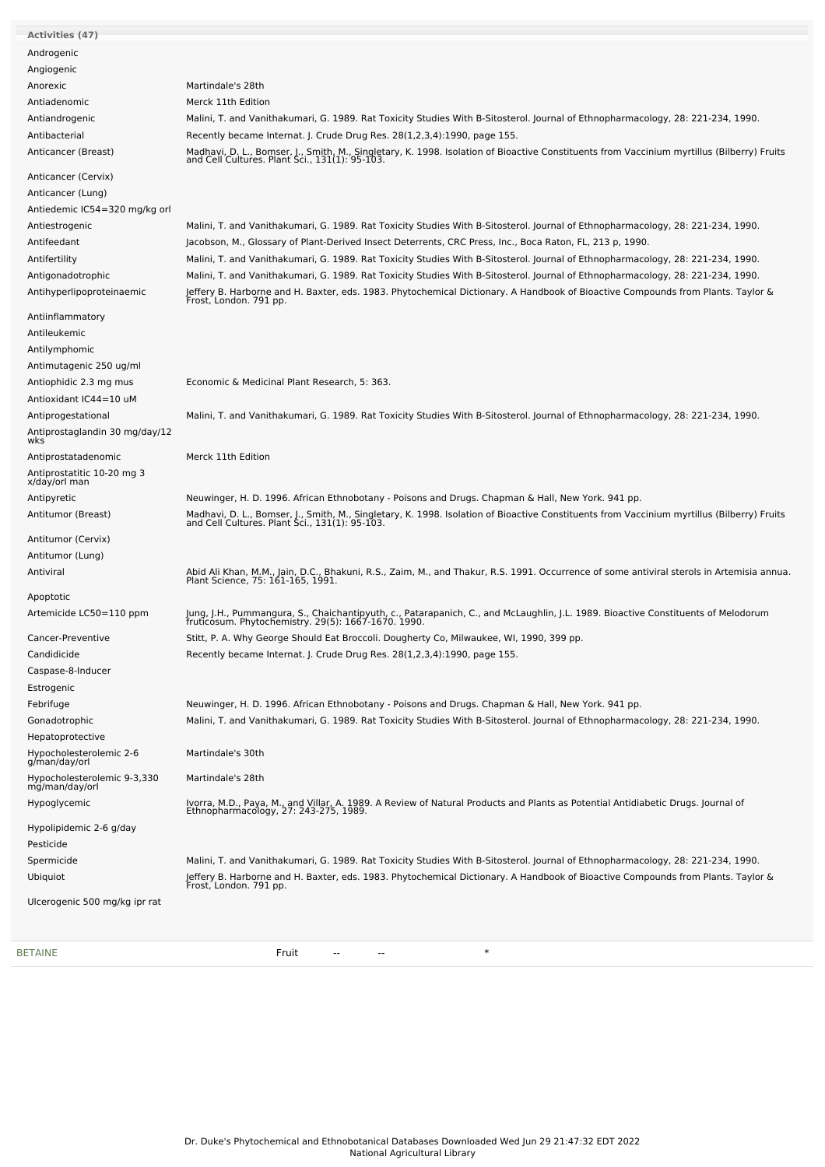| Activities (47)                          |                                                                                                                                                                                           |
|------------------------------------------|-------------------------------------------------------------------------------------------------------------------------------------------------------------------------------------------|
|                                          |                                                                                                                                                                                           |
| Androgenic                               |                                                                                                                                                                                           |
| Angiogenic                               |                                                                                                                                                                                           |
| Anorexic                                 | Martindale's 28th                                                                                                                                                                         |
| Antiadenomic                             | Merck 11th Edition                                                                                                                                                                        |
| Antiandrogenic                           | Malini, T. and Vanithakumari, G. 1989. Rat Toxicity Studies With B-Sitosterol. Journal of Ethnopharmacology, 28: 221-234, 1990.                                                           |
| Antibacterial                            | Recently became Internat. J. Crude Drug Res. 28(1,2,3,4):1990, page 155.                                                                                                                  |
| Anticancer (Breast)                      | Madhavi, D. L., Bomser, J., Smith, M., Singletary, K. 1998. Isolation of Bioactive Constituents from Vaccinium myrtillus (Bilberry) Fruits and Cell Cultures. Plant Sci., 131(1): 95-103. |
| Anticancer (Cervix)                      |                                                                                                                                                                                           |
| Anticancer (Lung)                        |                                                                                                                                                                                           |
| Antiedemic IC54=320 mg/kg orl            |                                                                                                                                                                                           |
| Antiestrogenic                           | Malini, T. and Vanithakumari, G. 1989. Rat Toxicity Studies With B-Sitosterol. Journal of Ethnopharmacology, 28: 221-234, 1990.                                                           |
| Antifeedant                              | Jacobson, M., Glossary of Plant-Derived Insect Deterrents, CRC Press, Inc., Boca Raton, FL, 213 p, 1990.                                                                                  |
|                                          |                                                                                                                                                                                           |
| Antifertility                            | Malini, T. and Vanithakumari, G. 1989. Rat Toxicity Studies With B-Sitosterol. Journal of Ethnopharmacology, 28: 221-234, 1990.                                                           |
| Antigonadotrophic                        | Malini, T. and Vanithakumari, G. 1989. Rat Toxicity Studies With B-Sitosterol. Journal of Ethnopharmacology, 28: 221-234, 1990.                                                           |
| Antihyperlipoproteinaemic                | Jeffery B. Harborne and H. Baxter, eds. 1983. Phytochemical Dictionary. A Handbook of Bioactive Compounds from Plants. Taylor &<br>Frost, London. 791 pp.                                 |
| Antiinflammatory                         |                                                                                                                                                                                           |
| Antileukemic                             |                                                                                                                                                                                           |
| Antilymphomic                            |                                                                                                                                                                                           |
| Antimutagenic 250 ug/ml                  |                                                                                                                                                                                           |
| Antiophidic 2.3 mg mus                   | Economic & Medicinal Plant Research, 5: 363.                                                                                                                                              |
| Antioxidant IC44=10 uM                   |                                                                                                                                                                                           |
| Antiprogestational                       | Malini, T. and Vanithakumari, G. 1989. Rat Toxicity Studies With B-Sitosterol. Journal of Ethnopharmacology, 28: 221-234, 1990.                                                           |
| Antiprostaglandin 30 mg/day/12           |                                                                                                                                                                                           |
| wks                                      |                                                                                                                                                                                           |
| Antiprostatadenomic                      | Merck 11th Edition                                                                                                                                                                        |
| Antiprostatitic 10-20 mg 3               |                                                                                                                                                                                           |
| x/day/orl man                            |                                                                                                                                                                                           |
| Antipyretic                              | Neuwinger, H. D. 1996. African Ethnobotany - Poisons and Drugs. Chapman & Hall, New York. 941 pp.                                                                                         |
| Antitumor (Breast)                       | Madhavi, D. L., Bomser, J., Smith, M., Singletary, K. 1998. Isolation of Bioactive Constituents from Vaccinium myrtillus (Bilberry) Fruits and Cell Cultures. Plant Sci., 131(1): 95-103. |
| Antitumor (Cervix)                       |                                                                                                                                                                                           |
| Antitumor (Lung)                         |                                                                                                                                                                                           |
| Antiviral                                | Abid Ali Khan, M.M., Jain, D.C., Bhakuni, R.S., Zaim, M., and Thakur, R.S. 1991. Occurrence of some antiviral sterols in Artemisia annua.<br>Plant Science, 75: 161-165, 1991.            |
|                                          |                                                                                                                                                                                           |
| Apoptotic                                |                                                                                                                                                                                           |
| Artemicide LC50=110 ppm                  | Jung, J.H., Pummangura, S., Chaichantipyuth, c., Patarapanich, C., and McLaughlin, J.L. 1989. Bioactive Constituents of Melodorum<br>fruticosum. Phytochemistry. 29(5): 1667-1670. 1990.  |
| Cancer-Preventive                        | Stitt, P. A. Why George Should Eat Broccoli. Dougherty Co, Milwaukee, WI, 1990, 399 pp.                                                                                                   |
| Candidicide                              | Recently became Internat. J. Crude Drug Res. 28(1,2,3,4):1990, page 155.                                                                                                                  |
| Caspase-8-Inducer                        |                                                                                                                                                                                           |
| Estrogenic                               |                                                                                                                                                                                           |
| Febrifuge                                | Neuwinger, H. D. 1996. African Ethnobotany - Poisons and Drugs. Chapman & Hall, New York. 941 pp.                                                                                         |
| Gonadotrophic                            | Malini, T. and Vanithakumari, G. 1989. Rat Toxicity Studies With B-Sitosterol. Journal of Ethnopharmacology, 28: 221-234, 1990.                                                           |
| Hepatoprotective                         |                                                                                                                                                                                           |
| Hypocholesterolemic 2-6<br>g/man/day/orl | Martindale's 30th                                                                                                                                                                         |
| Hypocholesterolemic 9-3,330              | Martindale's 28th                                                                                                                                                                         |
| mg/man/day/orl<br>Hypoglycemic           |                                                                                                                                                                                           |
|                                          | Ivorra, M.D., Paya, M., and Villar, A. 1989. A Review of Natural Products and Plants as Potential Antidiabetic Drugs. Journal of<br>Ethnopharmacology, 27: 243-275, 1989.                 |
| Hypolipidemic 2-6 g/day                  |                                                                                                                                                                                           |
| Pesticide                                |                                                                                                                                                                                           |
| Spermicide                               | Malini, T. and Vanithakumari, G. 1989. Rat Toxicity Studies With B-Sitosterol. Journal of Ethnopharmacology, 28: 221-234, 1990.                                                           |
| Ubiquiot                                 | Jeffery B. Harborne and H. Baxter, eds. 1983. Phytochemical Dictionary. A Handbook of Bioactive Compounds from Plants. Taylor &<br>Frost, London. 791 pp.                                 |
| Ulcerogenic 500 mg/kg ipr rat            |                                                                                                                                                                                           |
|                                          |                                                                                                                                                                                           |
|                                          |                                                                                                                                                                                           |

[BETAINE](file:///phytochem/chemicals/show/4646) Fruit -- -- \*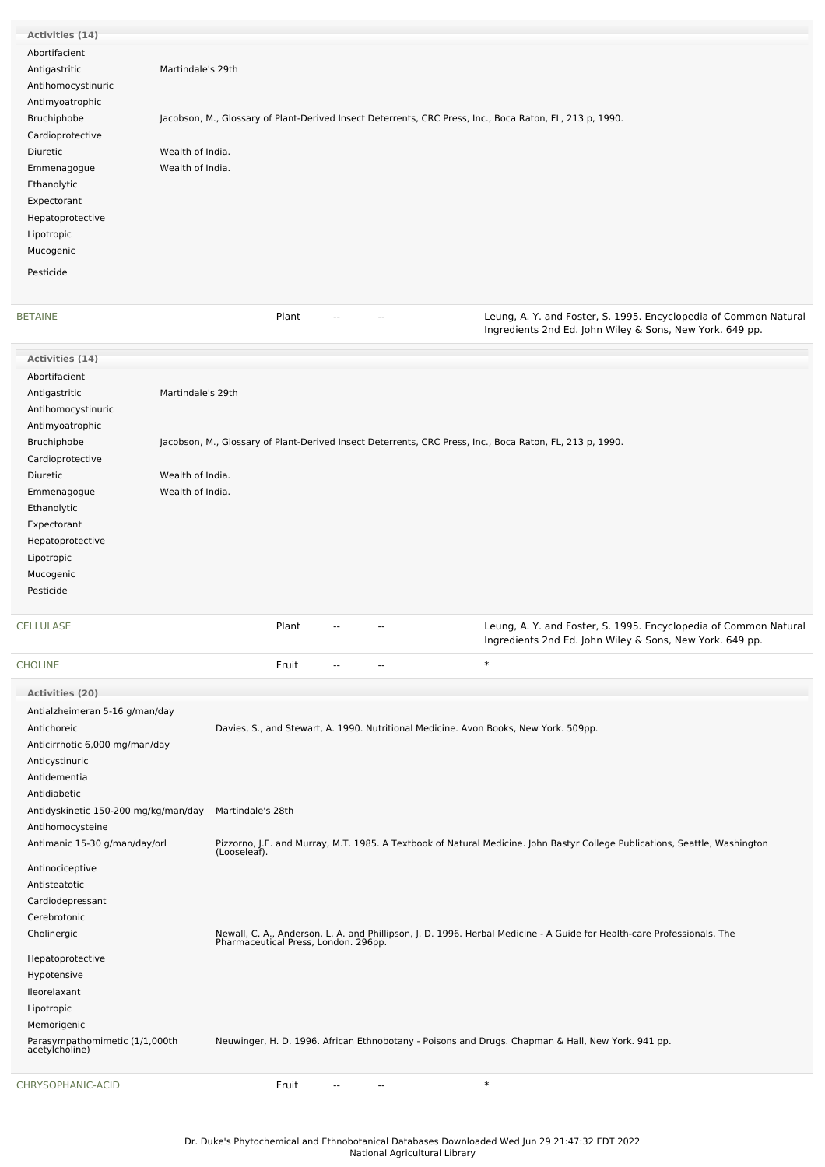| Activities (14)    |                                                                                                          |                                                                                                                              |
|--------------------|----------------------------------------------------------------------------------------------------------|------------------------------------------------------------------------------------------------------------------------------|
| Abortifacient      |                                                                                                          |                                                                                                                              |
| Antigastritic      | Martindale's 29th                                                                                        |                                                                                                                              |
| Antihomocystinuric |                                                                                                          |                                                                                                                              |
| Antimyoatrophic    |                                                                                                          |                                                                                                                              |
| Bruchiphobe        | Jacobson, M., Glossary of Plant-Derived Insect Deterrents, CRC Press, Inc., Boca Raton, FL, 213 p, 1990. |                                                                                                                              |
| Cardioprotective   |                                                                                                          |                                                                                                                              |
| Diuretic           | Wealth of India.                                                                                         |                                                                                                                              |
| Emmenagogue        | Wealth of India.                                                                                         |                                                                                                                              |
| Ethanolytic        |                                                                                                          |                                                                                                                              |
| Expectorant        |                                                                                                          |                                                                                                                              |
| Hepatoprotective   |                                                                                                          |                                                                                                                              |
| Lipotropic         |                                                                                                          |                                                                                                                              |
| Mucogenic          |                                                                                                          |                                                                                                                              |
| Pesticide          |                                                                                                          |                                                                                                                              |
|                    |                                                                                                          |                                                                                                                              |
|                    |                                                                                                          |                                                                                                                              |
| <b>BETAINE</b>     |                                                                                                          |                                                                                                                              |
|                    | Plant<br>$\overline{a}$<br>$-$                                                                           | Leung, A. Y. and Foster, S. 1995. Encyclopedia of Common Natural<br>Ingredients 2nd Ed. John Wiley & Sons, New York. 649 pp. |
| Activities (14)    |                                                                                                          |                                                                                                                              |
| Abortifacient      |                                                                                                          |                                                                                                                              |
| Antigastritic      | Martindale's 29th                                                                                        |                                                                                                                              |
| Antihomocystinuric |                                                                                                          |                                                                                                                              |
| Antimyoatrophic    |                                                                                                          |                                                                                                                              |
| Bruchiphobe        | Jacobson, M., Glossary of Plant-Derived Insect Deterrents, CRC Press, Inc., Boca Raton, FL, 213 p, 1990. |                                                                                                                              |
| Cardioprotective   |                                                                                                          |                                                                                                                              |
| Diuretic           | Wealth of India.                                                                                         |                                                                                                                              |
| Emmenagogue        | Wealth of India.                                                                                         |                                                                                                                              |
| Ethanolytic        |                                                                                                          |                                                                                                                              |
| Expectorant        |                                                                                                          |                                                                                                                              |
| Hepatoprotective   |                                                                                                          |                                                                                                                              |
| Lipotropic         |                                                                                                          |                                                                                                                              |
| Mucogenic          |                                                                                                          |                                                                                                                              |
| Pesticide          |                                                                                                          |                                                                                                                              |

| CELLULASE                                        | Plant             |  | Leung, A. Y. and Foster, S. 1995. Encyclopedia of Common Natural<br>Ingredients 2nd Ed. John Wiley & Sons, New York. 649 pp.                                    |
|--------------------------------------------------|-------------------|--|-----------------------------------------------------------------------------------------------------------------------------------------------------------------|
| <b>CHOLINE</b>                                   | Fruit             |  | $\ast$                                                                                                                                                          |
| Activities (20)                                  |                   |  |                                                                                                                                                                 |
| Antialzheimeran 5-16 g/man/day                   |                   |  |                                                                                                                                                                 |
| Antichoreic                                      |                   |  | Davies, S., and Stewart, A. 1990. Nutritional Medicine. Avon Books, New York. 509pp.                                                                            |
| Anticirrhotic 6,000 mg/man/day                   |                   |  |                                                                                                                                                                 |
| Anticystinuric                                   |                   |  |                                                                                                                                                                 |
| Antidementia                                     |                   |  |                                                                                                                                                                 |
| Antidiabetic                                     |                   |  |                                                                                                                                                                 |
| Antidyskinetic 150-200 mg/kg/man/day             | Martindale's 28th |  |                                                                                                                                                                 |
| Antihomocysteine                                 |                   |  |                                                                                                                                                                 |
| Antimanic 15-30 g/man/day/orl                    | (Looseleaf).      |  | Pizzorno, J.E. and Murray, M.T. 1985. A Textbook of Natural Medicine. John Bastyr College Publications, Seattle, Washington                                     |
| Antinociceptive                                  |                   |  |                                                                                                                                                                 |
| Antisteatotic                                    |                   |  |                                                                                                                                                                 |
| Cardiodepressant                                 |                   |  |                                                                                                                                                                 |
| Cerebrotonic                                     |                   |  |                                                                                                                                                                 |
| Cholinergic                                      |                   |  | Newall, C. A., Anderson, L. A. and Phillipson, J. D. 1996. Herbal Medicine - A Guide for Health-care Professionals. The<br>Pharmaceutical Press, London. 296pp. |
| Hepatoprotective                                 |                   |  |                                                                                                                                                                 |
| Hypotensive                                      |                   |  |                                                                                                                                                                 |
| Ileorelaxant                                     |                   |  |                                                                                                                                                                 |
| Lipotropic                                       |                   |  |                                                                                                                                                                 |
| Memorigenic                                      |                   |  |                                                                                                                                                                 |
| Parasympathomimetic (1/1,000th<br>acetylcholine) |                   |  | Neuwinger, H. D. 1996. African Ethnobotany - Poisons and Drugs. Chapman & Hall, New York. 941 pp.                                                               |
| CHRYSOPHANIC-ACID                                | Fruit             |  | $\ast$                                                                                                                                                          |
|                                                  |                   |  |                                                                                                                                                                 |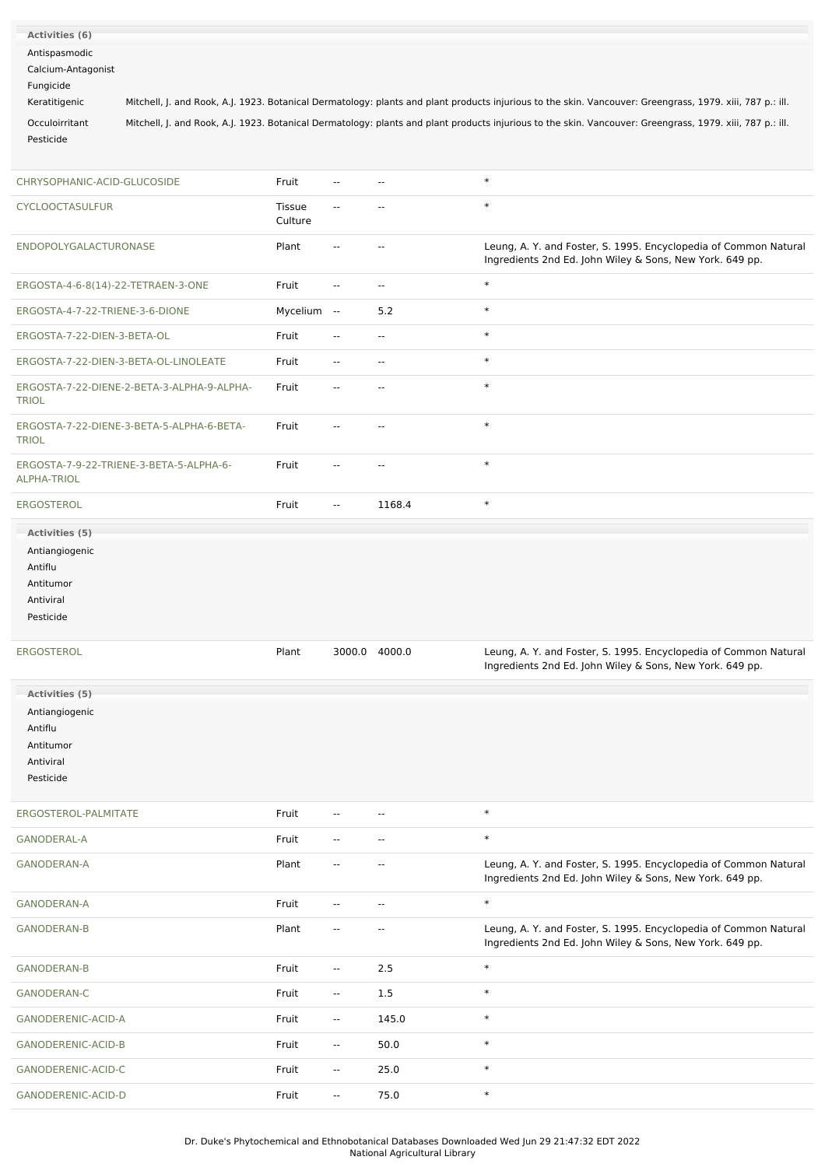| Activities (6)                     |                                            |               |                          |                          |                                                                                                                                                           |
|------------------------------------|--------------------------------------------|---------------|--------------------------|--------------------------|-----------------------------------------------------------------------------------------------------------------------------------------------------------|
| Antispasmodic                      |                                            |               |                          |                          |                                                                                                                                                           |
| Calcium-Antagonist                 |                                            |               |                          |                          |                                                                                                                                                           |
| Fungicide                          |                                            |               |                          |                          |                                                                                                                                                           |
|                                    |                                            |               |                          |                          |                                                                                                                                                           |
| Keratitigenic                      |                                            |               |                          |                          | Mitchell, J. and Rook, A.J. 1923. Botanical Dermatology: plants and plant products injurious to the skin. Vancouver: Greengrass, 1979. xiii, 787 p.: ill. |
| Occuloirritant                     |                                            |               |                          |                          | Mitchell, J. and Rook, A.J. 1923. Botanical Dermatology: plants and plant products injurious to the skin. Vancouver: Greengrass, 1979. xiii, 787 p.: ill. |
| Pesticide                          |                                            |               |                          |                          |                                                                                                                                                           |
|                                    |                                            |               |                          |                          |                                                                                                                                                           |
|                                    |                                            |               |                          |                          | $\ast$                                                                                                                                                    |
| CHRYSOPHANIC-ACID-GLUCOSIDE        |                                            | Fruit         | $\overline{\phantom{a}}$ | $\sim$                   |                                                                                                                                                           |
| <b>CYCLOOCTASULFUR</b>             |                                            | <b>Tissue</b> | $\overline{\phantom{a}}$ | $\sim$                   | $\ast$                                                                                                                                                    |
|                                    |                                            | Culture       |                          |                          |                                                                                                                                                           |
|                                    |                                            |               |                          |                          |                                                                                                                                                           |
| ENDOPOLYGALACTURONASE              |                                            | Plant         | $\overline{\phantom{a}}$ | $\overline{\phantom{a}}$ | Leung, A. Y. and Foster, S. 1995. Encyclopedia of Common Natural<br>Ingredients 2nd Ed. John Wiley & Sons, New York. 649 pp.                              |
|                                    |                                            |               |                          |                          |                                                                                                                                                           |
| ERGOSTA-4-6-8(14)-22-TETRAEN-3-ONE |                                            | Fruit         | н.                       | $\sim$                   | $\ast$                                                                                                                                                    |
|                                    |                                            |               |                          |                          |                                                                                                                                                           |
| ERGOSTA-4-7-22-TRIENE-3-6-DIONE    |                                            | Mycelium --   |                          | 5.2                      | $\ast$                                                                                                                                                    |
| ERGOSTA-7-22-DIEN-3-BETA-OL        |                                            | Fruit         | --                       | $\overline{\phantom{a}}$ | $\ast$                                                                                                                                                    |
|                                    |                                            |               |                          |                          |                                                                                                                                                           |
|                                    | ERGOSTA-7-22-DIEN-3-BETA-OL-LINOLEATE      | Fruit         | $\overline{\phantom{a}}$ | $\sim$                   | $\ast$                                                                                                                                                    |
|                                    | ERGOSTA-7-22-DIENE-2-BETA-3-ALPHA-9-ALPHA- | Fruit         | --                       | --                       | $\ast$                                                                                                                                                    |
| <b>TRIOL</b>                       |                                            |               |                          |                          |                                                                                                                                                           |
|                                    |                                            |               |                          |                          |                                                                                                                                                           |
|                                    | ERGOSTA-7-22-DIENE-3-BETA-5-ALPHA-6-BETA-  | Fruit         | $\overline{\phantom{a}}$ | $\overline{\phantom{a}}$ | $\ast$                                                                                                                                                    |
| <b>TRIOL</b>                       |                                            |               |                          |                          |                                                                                                                                                           |
|                                    | ERGOSTA-7-9-22-TRIENE-3-BETA-5-ALPHA-6-    | Fruit         | $\overline{\phantom{a}}$ | $\sim$                   | $\ast$                                                                                                                                                    |
| <b>ALPHA-TRIOL</b>                 |                                            |               |                          |                          |                                                                                                                                                           |
|                                    |                                            |               |                          |                          |                                                                                                                                                           |
| ERGOSTEROL                         |                                            | Fruit         | $\sim$                   | 1168.4                   | $\ast$                                                                                                                                                    |
| Activities (5)                     |                                            |               |                          |                          |                                                                                                                                                           |
|                                    |                                            |               |                          |                          |                                                                                                                                                           |
| Antiangiogenic                     |                                            |               |                          |                          |                                                                                                                                                           |
| Antiflu                            |                                            |               |                          |                          |                                                                                                                                                           |
| Antitumor                          |                                            |               |                          |                          |                                                                                                                                                           |
| Antiviral                          |                                            |               |                          |                          |                                                                                                                                                           |
| Pesticide                          |                                            |               |                          |                          |                                                                                                                                                           |
|                                    |                                            |               |                          |                          |                                                                                                                                                           |
| <b>ERGOSTEROL</b>                  |                                            | Plant         | 3000.0 4000.0            |                          | Leung, A. Y. and Foster, S. 1995. Encyclopedia of Common Natural                                                                                          |
|                                    |                                            |               |                          |                          | Ingredients 2nd Ed. John Wiley & Sons, New York. 649 pp.                                                                                                  |
|                                    |                                            |               |                          |                          |                                                                                                                                                           |
| Activities (5)                     |                                            |               |                          |                          |                                                                                                                                                           |
| Antiangiogenic                     |                                            |               |                          |                          |                                                                                                                                                           |
| Antiflu                            |                                            |               |                          |                          |                                                                                                                                                           |
| Antitumor                          |                                            |               |                          |                          |                                                                                                                                                           |
| Antiviral                          |                                            |               |                          |                          |                                                                                                                                                           |
| Pesticide                          |                                            |               |                          |                          |                                                                                                                                                           |
|                                    |                                            |               |                          |                          |                                                                                                                                                           |
| ERGOSTEROL-PALMITATE               |                                            | Fruit         | $\overline{\phantom{a}}$ | $\overline{\phantom{a}}$ | $\ast$                                                                                                                                                    |
|                                    |                                            |               |                          |                          |                                                                                                                                                           |
| <b>GANODERAL-A</b>                 |                                            | Fruit         | $\overline{\phantom{a}}$ | $\sim$                   | $\ast$                                                                                                                                                    |
| <b>GANODERAN-A</b>                 |                                            | Plant         | $\overline{\phantom{a}}$ | $\sim$                   | Leung, A. Y. and Foster, S. 1995. Encyclopedia of Common Natural                                                                                          |
|                                    |                                            |               |                          |                          | Ingredients 2nd Ed. John Wiley & Sons, New York. 649 pp.                                                                                                  |
|                                    |                                            |               |                          |                          |                                                                                                                                                           |
| <b>GANODERAN-A</b>                 |                                            | Fruit         | $\overline{\phantom{a}}$ | --                       | $\ast$                                                                                                                                                    |
| <b>GANODERAN-B</b>                 |                                            | Plant         | $\overline{\phantom{a}}$ | $\overline{\phantom{a}}$ | Leung, A. Y. and Foster, S. 1995. Encyclopedia of Common Natural                                                                                          |
|                                    |                                            |               |                          |                          | Ingredients 2nd Ed. John Wiley & Sons, New York. 649 pp.                                                                                                  |
|                                    |                                            |               |                          |                          |                                                                                                                                                           |
| GANODERAN-B                        |                                            | Fruit         | $\overline{\phantom{a}}$ | 2.5                      | $\ast$                                                                                                                                                    |
| GANODERAN-C                        |                                            | Fruit         | $\sim$                   | 1.5                      | $\ast$                                                                                                                                                    |
|                                    |                                            |               |                          |                          |                                                                                                                                                           |
| GANODERENIC-ACID-A                 |                                            | Fruit         | $\overline{\phantom{a}}$ | 145.0                    | $\ast$                                                                                                                                                    |
| GANODERENIC-ACID-B                 |                                            | Fruit         | $\overline{\phantom{a}}$ | 50.0                     | $\ast$                                                                                                                                                    |
|                                    |                                            |               |                          |                          |                                                                                                                                                           |
| GANODERENIC-ACID-C                 |                                            | Fruit         | $\overline{\phantom{a}}$ | 25.0                     | $\ast$                                                                                                                                                    |
|                                    | GANODERENIC-ACID-D                         | Fruit         | $\sim$                   | 75.0                     | $\ast$                                                                                                                                                    |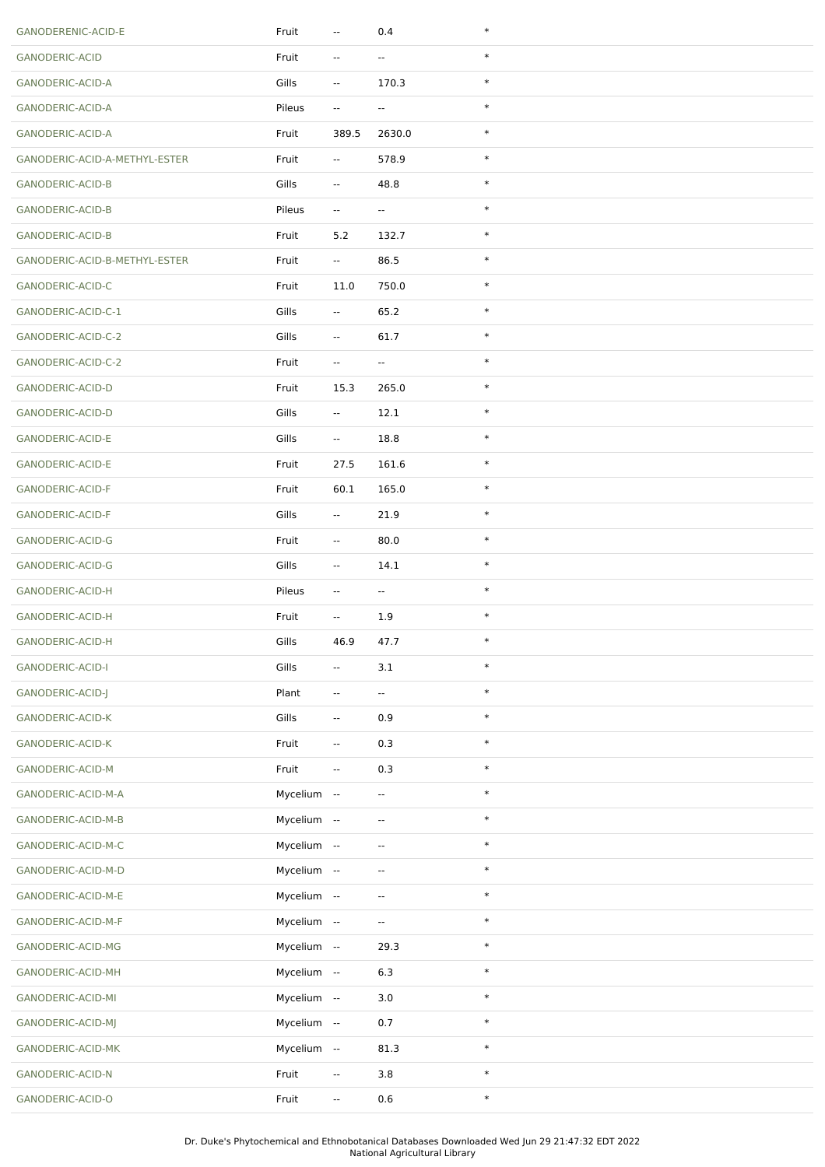| GANODERENIC-ACID-E            | Fruit       | $\overline{\phantom{a}}$ | 0.4                      | $\ast$ |
|-------------------------------|-------------|--------------------------|--------------------------|--------|
| GANODERIC-ACID                | Fruit       | $\overline{\phantom{a}}$ | $\overline{\phantom{a}}$ | $\ast$ |
| GANODERIC-ACID-A              | Gills       | $\overline{\phantom{a}}$ | 170.3                    | $\ast$ |
| GANODERIC-ACID-A              | Pileus      | $\overline{\phantom{a}}$ | $\overline{\phantom{a}}$ | $\ast$ |
| GANODERIC-ACID-A              | Fruit       | 389.5                    | 2630.0                   | $\ast$ |
| GANODERIC-ACID-A-METHYL-ESTER | Fruit       | $\sim$                   | 578.9                    | $\ast$ |
| <b>GANODERIC-ACID-B</b>       | Gills       | --                       | 48.8                     | $\ast$ |
| GANODERIC-ACID-B              | Pileus      | $\overline{\phantom{a}}$ | $\sim$                   | $\ast$ |
| GANODERIC-ACID-B              | Fruit       | 5.2                      | 132.7                    | $\ast$ |
| GANODERIC-ACID-B-METHYL-ESTER | Fruit       | $\overline{\phantom{a}}$ | 86.5                     | $\ast$ |
| GANODERIC-ACID-C              | Fruit       | 11.0                     | 750.0                    | $\ast$ |
| GANODERIC-ACID-C-1            | Gills       | $\overline{\phantom{a}}$ | 65.2                     | $\ast$ |
| GANODERIC-ACID-C-2            | Gills       | $\overline{\phantom{a}}$ | 61.7                     | $\ast$ |
| GANODERIC-ACID-C-2            | Fruit       | $\sim$                   | $\overline{\phantom{a}}$ | $\ast$ |
| GANODERIC-ACID-D              | Fruit       | 15.3                     | 265.0                    | $\ast$ |
| GANODERIC-ACID-D              | Gills       | $\overline{\phantom{a}}$ | 12.1                     | $\ast$ |
| GANODERIC-ACID-E              | Gills       | $\overline{\phantom{a}}$ | 18.8                     | $\ast$ |
| GANODERIC-ACID-E              | Fruit       | 27.5                     | 161.6                    | $\ast$ |
| GANODERIC-ACID-F              | Fruit       | 60.1                     | 165.0                    | $\ast$ |
| GANODERIC-ACID-F              | Gills       | $\overline{\phantom{a}}$ | 21.9                     | $\ast$ |
| GANODERIC-ACID-G              | Fruit       | $\overline{\phantom{a}}$ | 80.0                     | $\ast$ |
| GANODERIC-ACID-G              | Gills       | $\overline{\phantom{a}}$ | 14.1                     | $\ast$ |
| GANODERIC-ACID-H              | Pileus      | --                       | $\overline{\phantom{a}}$ | $\ast$ |
| GANODERIC-ACID-H              | Fruit       | $\overline{\phantom{a}}$ | 1.9                      | $\ast$ |
| GANODERIC-ACID-H              | Gills       | 46.9                     | 47.7                     | $\ast$ |
| <b>GANODERIC-ACID-I</b>       | Gills       | $\sim$                   | 3.1                      | $\ast$ |
| GANODERIC-ACID-J              | Plant       | $\overline{\phantom{a}}$ | $\sim$                   | $\ast$ |
| GANODERIC-ACID-K              | Gills       | $\overline{\phantom{a}}$ | 0.9                      | $\ast$ |
| GANODERIC-ACID-K              | Fruit       | $\overline{\phantom{a}}$ | 0.3                      | $\ast$ |
| GANODERIC-ACID-M              | Fruit       | $\overline{\phantom{a}}$ | 0.3                      | $\ast$ |
| GANODERIC-ACID-M-A            | Mycelium -- |                          | $\sim$                   | $\ast$ |
| GANODERIC-ACID-M-B            | Mycelium -- |                          | $\overline{\phantom{a}}$ | $\ast$ |
| GANODERIC-ACID-M-C            | Mycelium -- |                          | $\overline{\phantom{a}}$ | $\ast$ |
| GANODERIC-ACID-M-D            | Mycelium -- |                          | $\overline{\phantom{a}}$ | $\ast$ |
| GANODERIC-ACID-M-E            | Mycelium -- |                          | $\overline{\phantom{a}}$ | $\ast$ |
| GANODERIC-ACID-M-F            | Mycelium -- |                          | $\overline{\phantom{a}}$ | $\ast$ |
| GANODERIC-ACID-MG             | Mycelium -- |                          | 29.3                     | $\ast$ |
| GANODERIC-ACID-MH             | Mycelium -- |                          | 6.3                      | $\ast$ |
| GANODERIC-ACID-MI             | Mycelium -- |                          | 3.0                      | $\ast$ |
| GANODERIC-ACID-MJ             | Mycelium -- |                          | 0.7                      | $\ast$ |
| GANODERIC-ACID-MK             | Mycelium -- |                          | 81.3                     | $\ast$ |
| GANODERIC-ACID-N              | Fruit       | $\overline{\phantom{a}}$ | 3.8                      | $\ast$ |
| GANODERIC-ACID-O              | Fruit       | 4                        | $0.6\,$                  | $\ast$ |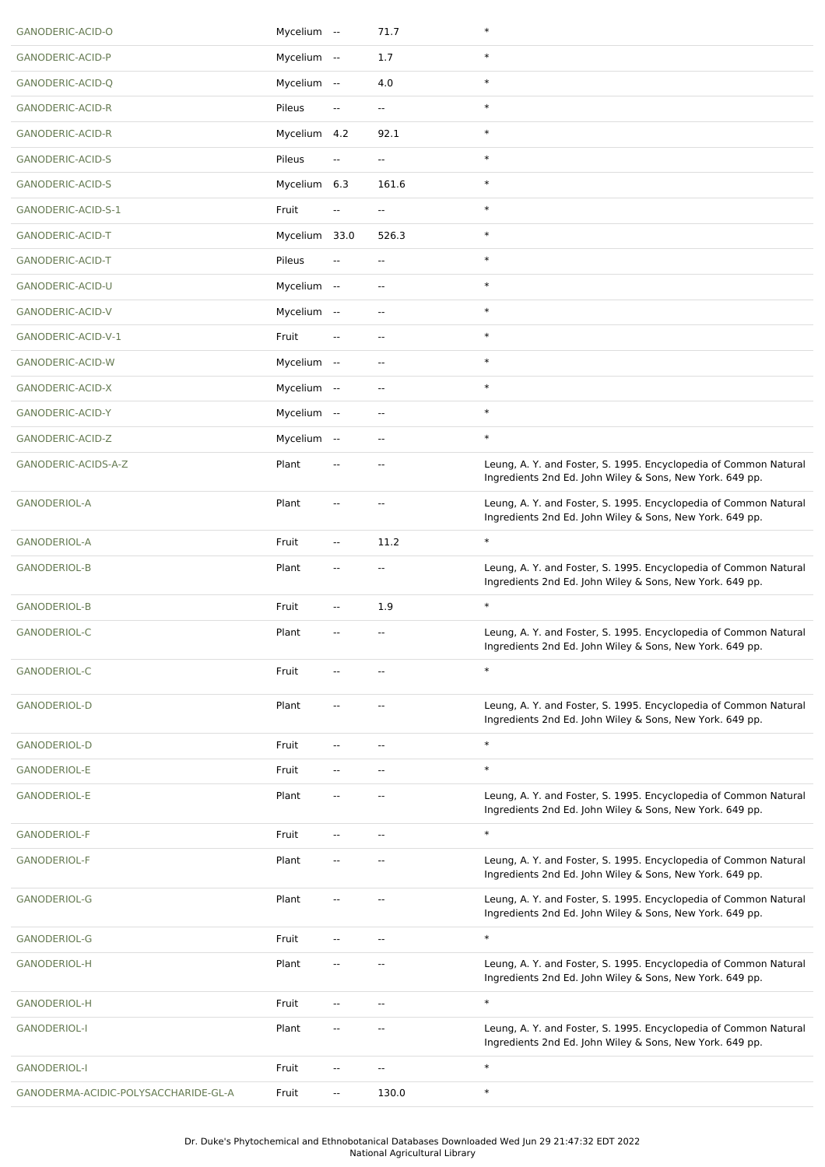| GANODERIC-ACID-O                     | Mycelium --  |                          | 71.7                     | $\ast$                                                                                                                       |
|--------------------------------------|--------------|--------------------------|--------------------------|------------------------------------------------------------------------------------------------------------------------------|
| GANODERIC-ACID-P                     | Mycelium --  |                          | 1.7                      | $\ast$                                                                                                                       |
| GANODERIC-ACID-Q                     | Mycelium --  |                          | 4.0                      | $\ast$                                                                                                                       |
| <b>GANODERIC-ACID-R</b>              | Pileus       | $\overline{\phantom{a}}$ | $\overline{\phantom{a}}$ | $\ast$                                                                                                                       |
| <b>GANODERIC-ACID-R</b>              | Mycelium 4.2 |                          | 92.1                     | $\ast$                                                                                                                       |
| <b>GANODERIC-ACID-S</b>              | Pileus       | --                       | $\overline{\phantom{a}}$ | $\ast$                                                                                                                       |
| GANODERIC-ACID-S                     | Mycelium 6.3 |                          | 161.6                    | $\ast$                                                                                                                       |
| GANODERIC-ACID-S-1                   | Fruit        | --                       | $\sim$                   | $\ast$                                                                                                                       |
| GANODERIC-ACID-T                     | Mycelium     | 33.0                     | 526.3                    | $\ast$                                                                                                                       |
| GANODERIC-ACID-T                     | Pileus       | --                       | $\overline{\phantom{a}}$ | $\ast$                                                                                                                       |
| GANODERIC-ACID-U                     | Mycelium --  |                          | $\overline{\phantom{a}}$ | $\ast$                                                                                                                       |
| GANODERIC-ACID-V                     | Mycelium --  |                          | $\overline{\phantom{a}}$ | $\ast$                                                                                                                       |
| GANODERIC-ACID-V-1                   | Fruit        | $\overline{\phantom{a}}$ | $\overline{\phantom{a}}$ | $\ast$                                                                                                                       |
| GANODERIC-ACID-W                     | Mycelium --  |                          | $\overline{\phantom{a}}$ | $\ast$                                                                                                                       |
| GANODERIC-ACID-X                     | Mycelium --  |                          | $\overline{\phantom{a}}$ | $\ast$                                                                                                                       |
| GANODERIC-ACID-Y                     | Mycelium --  |                          | $\sim$                   | $\ast$                                                                                                                       |
| GANODERIC-ACID-Z                     | Mycelium --  |                          | $\overline{\phantom{a}}$ | $\ast$                                                                                                                       |
| GANODERIC-ACIDS-A-Z                  | Plant        | ٠.                       |                          | Leung, A. Y. and Foster, S. 1995. Encyclopedia of Common Natural<br>Ingredients 2nd Ed. John Wiley & Sons, New York. 649 pp. |
| <b>GANODERIOL-A</b>                  | Plant        | $\overline{\phantom{a}}$ | $\overline{\phantom{a}}$ | Leung, A. Y. and Foster, S. 1995. Encyclopedia of Common Natural<br>Ingredients 2nd Ed. John Wiley & Sons, New York. 649 pp. |
| GANODERIOL-A                         | Fruit        | --                       | 11.2                     | $\ast$                                                                                                                       |
| <b>GANODERIOL-B</b>                  | Plant        | $\overline{\phantom{a}}$ | $\overline{\phantom{a}}$ | Leung, A. Y. and Foster, S. 1995. Encyclopedia of Common Natural<br>Ingredients 2nd Ed. John Wiley & Sons, New York. 649 pp. |
| <b>GANODERIOL-B</b>                  | Fruit        | --                       | 1.9                      | $\ast$                                                                                                                       |
| <b>GANODERIOL-C</b>                  | Plant        | --                       | $\sim$                   | Leung, A. Y. and Foster, S. 1995. Encyclopedia of Common Natural<br>Ingredients 2nd Ed. John Wiley & Sons, New York. 649 pp. |
| <b>GANODERIOL-C</b>                  | Fruit        |                          |                          | $\ast$                                                                                                                       |
| <b>GANODERIOL-D</b>                  | Plant        | --                       |                          | Leung, A. Y. and Foster, S. 1995. Encyclopedia of Common Natural<br>Ingredients 2nd Ed. John Wiley & Sons, New York. 649 pp. |
| <b>GANODERIOL-D</b>                  | Fruit        | --                       | $\overline{\phantom{a}}$ | $\ast$                                                                                                                       |
| GANODERIOL-E                         | Fruit        | Ξ.                       | $-$                      | $\ast$                                                                                                                       |
| GANODERIOL-E                         | Plant        | $\overline{a}$           | $\overline{a}$           | Leung, A. Y. and Foster, S. 1995. Encyclopedia of Common Natural<br>Ingredients 2nd Ed. John Wiley & Sons, New York. 649 pp. |
| <b>GANODERIOL-F</b>                  | Fruit        | Щ,                       | $\overline{a}$           | $\ast$                                                                                                                       |
| <b>GANODERIOL-F</b>                  | Plant        | $\overline{a}$           | $\sim$ $\sim$            | Leung, A. Y. and Foster, S. 1995. Encyclopedia of Common Natural<br>Ingredients 2nd Ed. John Wiley & Sons, New York. 649 pp. |
| <b>GANODERIOL-G</b>                  | Plant        | --                       | $\overline{a}$           | Leung, A. Y. and Foster, S. 1995. Encyclopedia of Common Natural<br>Ingredients 2nd Ed. John Wiley & Sons, New York. 649 pp. |
| <b>GANODERIOL-G</b>                  | Fruit        | Ц.                       | $-1$                     | $\ast$                                                                                                                       |
| GANODERIOL-H                         | Plant        | --                       | $-1$                     | Leung, A. Y. and Foster, S. 1995. Encyclopedia of Common Natural<br>Ingredients 2nd Ed. John Wiley & Sons, New York. 649 pp. |
| GANODERIOL-H                         | Fruit        | Ξ.                       | ÷.                       | $\ast$                                                                                                                       |
| <b>GANODERIOL-I</b>                  | Plant        | --                       | $\overline{a}$           | Leung, A. Y. and Foster, S. 1995. Encyclopedia of Common Natural<br>Ingredients 2nd Ed. John Wiley & Sons, New York. 649 pp. |
| <b>GANODERIOL-I</b>                  | Fruit        | $\overline{\phantom{a}}$ | $\overline{\phantom{a}}$ | $\ast$                                                                                                                       |
| GANODERMA-ACIDIC-POLYSACCHARIDE-GL-A | Fruit        | --                       | 130.0                    | $\ast$                                                                                                                       |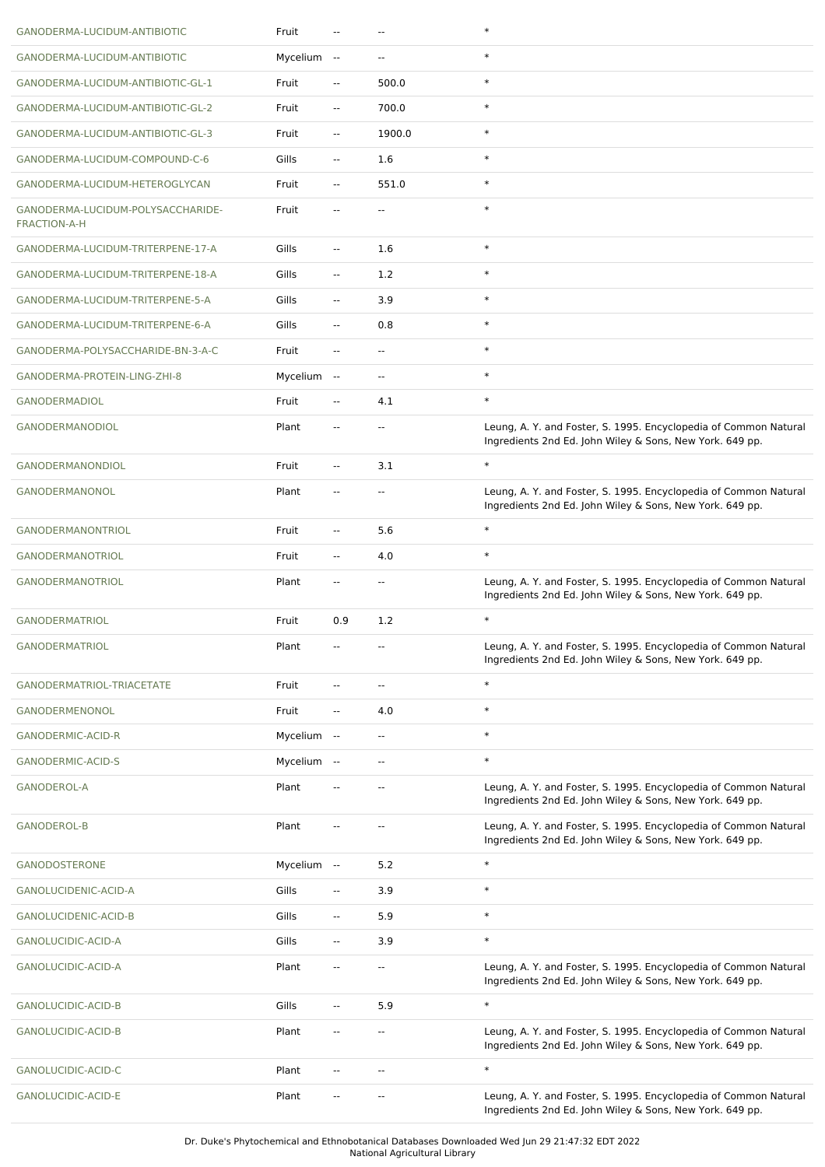| GANODERMA-LUCIDUM-ANTIBIOTIC                             | Fruit       |                          | $\overline{\phantom{a}}$ | $\ast$                                                                                                                       |
|----------------------------------------------------------|-------------|--------------------------|--------------------------|------------------------------------------------------------------------------------------------------------------------------|
| GANODERMA-LUCIDUM-ANTIBIOTIC                             | Mycelium -- |                          | $\sim$ $\sim$            | $\ast$                                                                                                                       |
| GANODERMA-LUCIDUM-ANTIBIOTIC-GL-1                        | Fruit       | н.                       | 500.0                    | $\ast$                                                                                                                       |
| GANODERMA-LUCIDUM-ANTIBIOTIC-GL-2                        | Fruit       | --                       | 700.0                    | $\ast$                                                                                                                       |
| GANODERMA-LUCIDUM-ANTIBIOTIC-GL-3                        | Fruit       | $\overline{\phantom{a}}$ | 1900.0                   | $\ast$                                                                                                                       |
| GANODERMA-LUCIDUM-COMPOUND-C-6                           | Gills       | $\overline{\phantom{a}}$ | 1.6                      | $\ast$                                                                                                                       |
| GANODERMA-LUCIDUM-HETEROGLYCAN                           | Fruit       | $\sim$                   | 551.0                    | $\ast$                                                                                                                       |
| GANODERMA-LUCIDUM-POLYSACCHARIDE-<br><b>FRACTION-A-H</b> | Fruit       | --                       |                          | $\ast$                                                                                                                       |
| GANODERMA-LUCIDUM-TRITERPENE-17-A                        | Gills       | $\overline{\phantom{a}}$ | 1.6                      | $\ast$                                                                                                                       |
| GANODERMA-LUCIDUM-TRITERPENE-18-A                        | Gills       | $\overline{\phantom{a}}$ | 1.2                      | $\ast$                                                                                                                       |
| GANODERMA-LUCIDUM-TRITERPENE-5-A                         | Gills       | $\overline{\phantom{a}}$ | 3.9                      | $\ast$                                                                                                                       |
| GANODERMA-LUCIDUM-TRITERPENE-6-A                         | Gills       | $\overline{\phantom{a}}$ | 0.8                      | $\ast$                                                                                                                       |
| GANODERMA-POLYSACCHARIDE-BN-3-A-C                        | Fruit       | $\overline{\phantom{a}}$ | $\overline{\phantom{a}}$ | $\ast$                                                                                                                       |
| GANODERMA-PROTEIN-LING-ZHI-8                             | Mycelium -- |                          | $\overline{\phantom{a}}$ | $\ast$                                                                                                                       |
| <b>GANODERMADIOL</b>                                     | Fruit       | $\overline{\phantom{a}}$ | 4.1                      | $\ast$                                                                                                                       |
| GANODERMANODIOL                                          | Plant       | $\overline{\phantom{a}}$ | $\overline{\phantom{a}}$ | Leung, A. Y. and Foster, S. 1995. Encyclopedia of Common Natural<br>Ingredients 2nd Ed. John Wiley & Sons, New York. 649 pp. |
| GANODERMANONDIOL                                         | Fruit       | $\overline{\phantom{a}}$ | 3.1                      | $\ast$                                                                                                                       |
| GANODERMANONOL                                           | Plant       | --                       | $\overline{a}$           | Leung, A. Y. and Foster, S. 1995. Encyclopedia of Common Natural<br>Ingredients 2nd Ed. John Wiley & Sons, New York. 649 pp. |
| <b>GANODERMANONTRIOL</b>                                 | Fruit       | $\overline{\phantom{a}}$ | 5.6                      | $\ast$                                                                                                                       |
| <b>GANODERMANOTRIOL</b>                                  | Fruit       | Ξ.                       | 4.0                      | $\ast$                                                                                                                       |
|                                                          |             |                          |                          |                                                                                                                              |
| <b>GANODERMANOTRIOL</b>                                  | Plant       | $\overline{\phantom{a}}$ | --                       | Leung, A. Y. and Foster, S. 1995. Encyclopedia of Common Natural<br>Ingredients 2nd Ed. John Wiley & Sons, New York. 649 pp. |
| <b>GANODERMATRIOL</b>                                    | Fruit       | 0.9                      | 1.2                      | $\ast$                                                                                                                       |
| <b>GANODERMATRIOL</b>                                    | Plant       |                          |                          | Leung, A. Y. and Foster, S. 1995. Encyclopedia of Common Natural<br>Ingredients 2nd Ed. John Wiley & Sons, New York. 649 pp. |
| GANODERMATRIOL-TRIACETATE                                | Fruit       | $\overline{a}$           | $\overline{\phantom{a}}$ | $\ast$                                                                                                                       |
| GANODERMENONOL                                           | Fruit       | $\overline{\phantom{a}}$ | 4.0                      | $\ast$                                                                                                                       |
| GANODERMIC-ACID-R                                        | Mycelium -- |                          | $\overline{\phantom{a}}$ | $\ast$                                                                                                                       |
| GANODERMIC-ACID-S                                        | Mycelium -- |                          | $\overline{\phantom{a}}$ | $\ast$                                                                                                                       |
| GANODEROL-A                                              | Plant       | --                       | $\overline{\phantom{a}}$ | Leung, A. Y. and Foster, S. 1995. Encyclopedia of Common Natural<br>Ingredients 2nd Ed. John Wiley & Sons, New York. 649 pp. |
| <b>GANODEROL-B</b>                                       | Plant       |                          | --                       | Leung, A. Y. and Foster, S. 1995. Encyclopedia of Common Natural<br>Ingredients 2nd Ed. John Wiley & Sons, New York. 649 pp. |
| <b>GANODOSTERONE</b>                                     | Mycelium -- |                          | 5.2                      | $\ast$                                                                                                                       |
| GANOLUCIDENIC-ACID-A                                     | Gills       | --                       | 3.9                      | $\ast$                                                                                                                       |
| GANOLUCIDENIC-ACID-B                                     | Gills       | --                       | 5.9                      | $\ast$                                                                                                                       |
| GANOLUCIDIC-ACID-A                                       | Gills       | --                       | 3.9                      | $\ast$                                                                                                                       |
| GANOLUCIDIC-ACID-A                                       | Plant       | --                       | $\overline{\phantom{a}}$ | Leung, A. Y. and Foster, S. 1995. Encyclopedia of Common Natural<br>Ingredients 2nd Ed. John Wiley & Sons, New York. 649 pp. |
| GANOLUCIDIC-ACID-B                                       | Gills       | Ξ.                       | 5.9                      | $\ast$                                                                                                                       |
| GANOLUCIDIC-ACID-B                                       | Plant       | --                       |                          | Leung, A. Y. and Foster, S. 1995. Encyclopedia of Common Natural<br>Ingredients 2nd Ed. John Wiley & Sons, New York. 649 pp. |
| GANOLUCIDIC-ACID-C                                       | Plant       | --                       | $\overline{\phantom{a}}$ | $\ast$                                                                                                                       |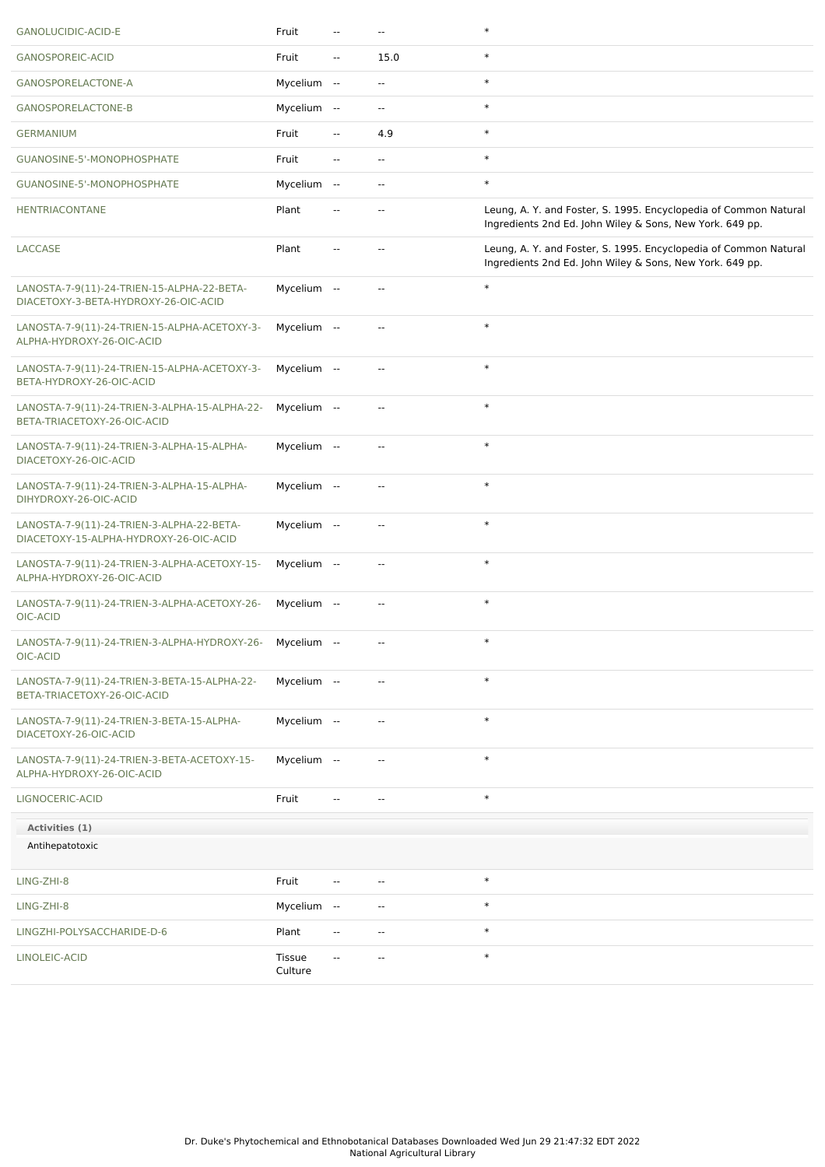| GANOLUCIDIC-ACID-E                                                                  | Fruit             | $\overline{a}$           | $\overline{a}$           | $\ast$                                                                                                                       |
|-------------------------------------------------------------------------------------|-------------------|--------------------------|--------------------------|------------------------------------------------------------------------------------------------------------------------------|
| GANOSPOREIC-ACID                                                                    | Fruit             | $\overline{\phantom{a}}$ | 15.0                     | $\ast$                                                                                                                       |
| GANOSPORELACTONE-A                                                                  | Mycelium --       |                          | $\overline{\phantom{a}}$ | $\ast$                                                                                                                       |
| GANOSPORELACTONE-B                                                                  | Mycelium --       |                          | ٠.                       | $\ast$                                                                                                                       |
| <b>GERMANIUM</b>                                                                    | Fruit             | --                       | 4.9                      | $\ast$                                                                                                                       |
| GUANOSINE-5'-MONOPHOSPHATE                                                          | Fruit             | $\overline{\phantom{a}}$ | $\overline{\phantom{a}}$ | $\ast$                                                                                                                       |
| GUANOSINE-5'-MONOPHOSPHATE                                                          | Mycelium --       |                          | $\overline{\phantom{a}}$ | $\ast$                                                                                                                       |
| <b>HENTRIACONTANE</b>                                                               | Plant             | --                       | $\overline{\phantom{a}}$ | Leung, A. Y. and Foster, S. 1995. Encyclopedia of Common Natural<br>Ingredients 2nd Ed. John Wiley & Sons, New York. 649 pp. |
| LACCASE                                                                             | Plant             |                          |                          | Leung, A. Y. and Foster, S. 1995. Encyclopedia of Common Natural<br>Ingredients 2nd Ed. John Wiley & Sons, New York. 649 pp. |
| LANOSTA-7-9(11)-24-TRIEN-15-ALPHA-22-BETA-<br>DIACETOXY-3-BETA-HYDROXY-26-OIC-ACID  | Mycelium --       |                          | $\overline{\phantom{a}}$ | $\ast$                                                                                                                       |
| LANOSTA-7-9(11)-24-TRIEN-15-ALPHA-ACETOXY-3-<br>ALPHA-HYDROXY-26-OIC-ACID           | Mycelium --       |                          | $\overline{\phantom{a}}$ | $\ast$                                                                                                                       |
| LANOSTA-7-9(11)-24-TRIEN-15-ALPHA-ACETOXY-3-<br>BETA-HYDROXY-26-OIC-ACID            | Mycelium --       |                          | $\overline{\phantom{a}}$ | $\ast$                                                                                                                       |
| LANOSTA-7-9(11)-24-TRIEN-3-ALPHA-15-ALPHA-22-<br>BETA-TRIACETOXY-26-OIC-ACID        | Mycelium --       |                          | --                       | $\ast$                                                                                                                       |
| LANOSTA-7-9(11)-24-TRIEN-3-ALPHA-15-ALPHA-<br>DIACETOXY-26-OIC-ACID                 | Mycelium --       |                          | $\overline{\phantom{a}}$ | $\ast$                                                                                                                       |
| LANOSTA-7-9(11)-24-TRIEN-3-ALPHA-15-ALPHA-<br>DIHYDROXY-26-OIC-ACID                 | Mycelium --       |                          | $\overline{\phantom{a}}$ | $\ast$                                                                                                                       |
| LANOSTA-7-9(11)-24-TRIEN-3-ALPHA-22-BETA-<br>DIACETOXY-15-ALPHA-HYDROXY-26-OIC-ACID | Mycelium --       |                          | --                       | $\ast$                                                                                                                       |
| LANOSTA-7-9(11)-24-TRIEN-3-ALPHA-ACETOXY-15-<br>ALPHA-HYDROXY-26-OIC-ACID           | Mycelium --       |                          | $\overline{\phantom{a}}$ | $\ast$                                                                                                                       |
| LANOSTA-7-9(11)-24-TRIEN-3-ALPHA-ACETOXY-26-<br>OIC-ACID                            | Mycelium --       |                          | $\overline{\phantom{a}}$ | $\ast$                                                                                                                       |
| LANOSTA-7-9(11)-24-TRIEN-3-ALPHA-HYDROXY-26- Mycelium --<br>OIC-ACID                |                   |                          | --                       | $\ast$                                                                                                                       |
| LANOSTA-7-9(11)-24-TRIEN-3-BETA-15-ALPHA-22-<br>BETA-TRIACETOXY-26-OIC-ACID         | Mycelium --       |                          | $\overline{\phantom{a}}$ | $\ast$                                                                                                                       |
| LANOSTA-7-9(11)-24-TRIEN-3-BETA-15-ALPHA-<br>DIACETOXY-26-OIC-ACID                  | Mycelium --       |                          | $\overline{\phantom{a}}$ | $\ast$                                                                                                                       |
| LANOSTA-7-9(11)-24-TRIEN-3-BETA-ACETOXY-15-<br>ALPHA-HYDROXY-26-OIC-ACID            | Mycelium --       |                          | $\overline{\phantom{a}}$ | $\ast$                                                                                                                       |
| LIGNOCERIC-ACID                                                                     | Fruit             | $\overline{\phantom{a}}$ | $\overline{\phantom{a}}$ | $\ast$                                                                                                                       |
| Activities (1)                                                                      |                   |                          |                          |                                                                                                                              |
| Antihepatotoxic                                                                     |                   |                          |                          |                                                                                                                              |
| LING-ZHI-8                                                                          | Fruit             | $\overline{\phantom{a}}$ | --                       | $\ast$                                                                                                                       |
| LING-ZHI-8                                                                          | Mycelium --       |                          | $\overline{\phantom{a}}$ | $\ast$                                                                                                                       |
| LINGZHI-POLYSACCHARIDE-D-6                                                          | Plant             | $\overline{\phantom{a}}$ | $\overline{\phantom{a}}$ | $\ast$                                                                                                                       |
| LINOLEIC-ACID                                                                       | Tissue<br>Culture | ۰.                       |                          | $\ast$                                                                                                                       |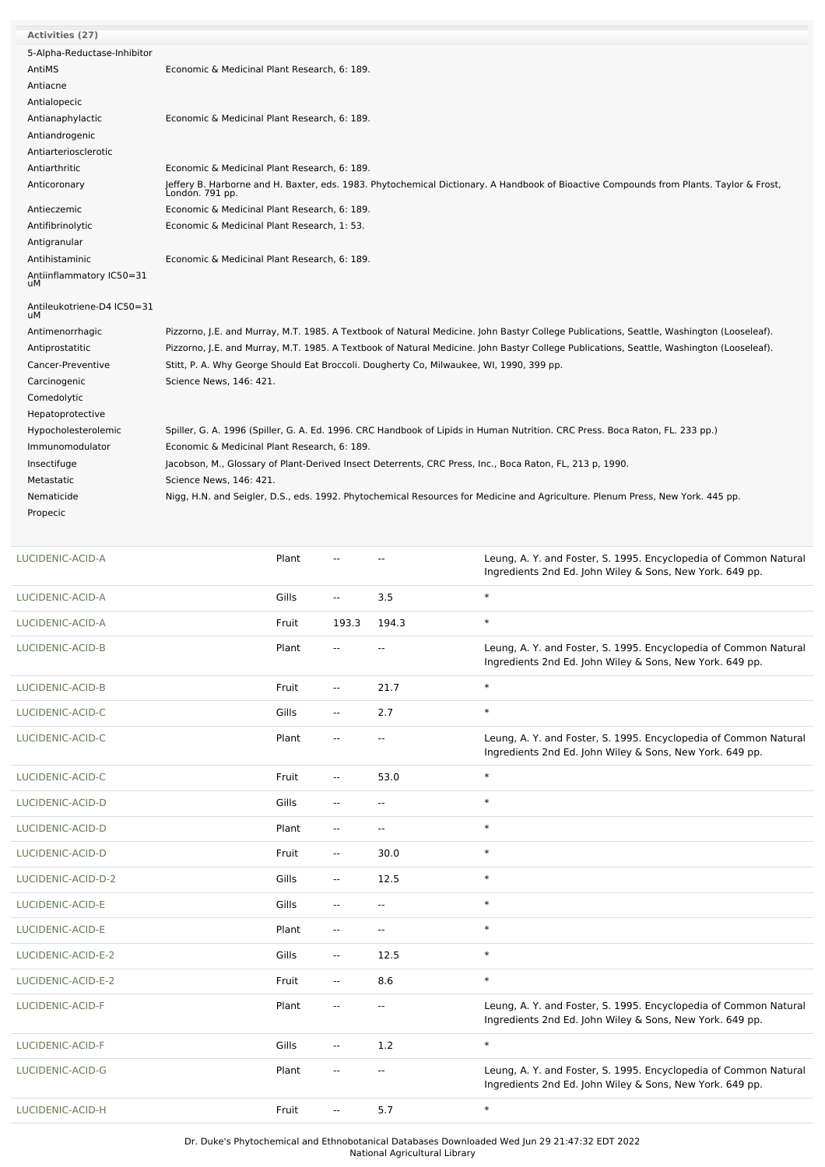| <b>Activities (27)</b>           |                                                                                                                                                           |
|----------------------------------|-----------------------------------------------------------------------------------------------------------------------------------------------------------|
| 5-Alpha-Reductase-Inhibitor      |                                                                                                                                                           |
| AntiMS                           | Economic & Medicinal Plant Research, 6: 189.                                                                                                              |
| Antiacne                         |                                                                                                                                                           |
| Antialopecic                     |                                                                                                                                                           |
| Antianaphylactic                 | Economic & Medicinal Plant Research, 6: 189.                                                                                                              |
| Antiandrogenic                   |                                                                                                                                                           |
| Antiarteriosclerotic             |                                                                                                                                                           |
| Antiarthritic                    | Economic & Medicinal Plant Research, 6: 189.                                                                                                              |
| Anticoronary                     | Jeffery B. Harborne and H. Baxter, eds. 1983. Phytochemical Dictionary. A Handbook of Bioactive Compounds from Plants. Taylor & Frost,<br>London. 791 pp. |
| Antieczemic                      | Economic & Medicinal Plant Research, 6: 189.                                                                                                              |
| Antifibrinolytic                 | Economic & Medicinal Plant Research, 1: 53.                                                                                                               |
| Antigranular                     |                                                                                                                                                           |
| Antihistaminic                   | Economic & Medicinal Plant Research, 6: 189.                                                                                                              |
| Antiinflammatory IC50=31<br>uМ   |                                                                                                                                                           |
| Antileukotriene-D4 IC50=31<br>uМ |                                                                                                                                                           |
| Antimenorrhagic                  | Pizzorno, J.E. and Murray, M.T. 1985. A Textbook of Natural Medicine. John Bastyr College Publications, Seattle, Washington (Looseleaf).                  |
| Antiprostatitic                  | Pizzorno, J.E. and Murray, M.T. 1985. A Textbook of Natural Medicine. John Bastyr College Publications, Seattle, Washington (Looseleaf).                  |
| Cancer-Preventive                | Stitt, P. A. Why George Should Eat Broccoli. Dougherty Co, Milwaukee, WI, 1990, 399 pp.                                                                   |
| Carcinogenic                     | Science News, 146: 421.                                                                                                                                   |
| Comedolytic                      |                                                                                                                                                           |
| Hepatoprotective                 |                                                                                                                                                           |
| Hypocholesterolemic              | Spiller, G. A. 1996 (Spiller, G. A. Ed. 1996. CRC Handbook of Lipids in Human Nutrition. CRC Press. Boca Raton, FL. 233 pp.)                              |
| Immunomodulator                  | Economic & Medicinal Plant Research, 6: 189.                                                                                                              |
| Insectifuge                      | Jacobson, M., Glossary of Plant-Derived Insect Deterrents, CRC Press, Inc., Boca Raton, FL, 213 p, 1990.                                                  |
| Metastatic                       | Science News, 146: 421.                                                                                                                                   |
| Nematicide                       | Nigg, H.N. and Seigler, D.S., eds. 1992. Phytochemical Resources for Medicine and Agriculture. Plenum Press, New York. 445 pp.                            |
| Propecic                         |                                                                                                                                                           |
|                                  |                                                                                                                                                           |

| LUCIDENIC-ACID-A   | Plant |                          |                          | Leung, A. Y. and Foster, S. 1995. Encyclopedia of Common Natural<br>Ingredients 2nd Ed. John Wiley & Sons, New York. 649 pp. |
|--------------------|-------|--------------------------|--------------------------|------------------------------------------------------------------------------------------------------------------------------|
| LUCIDENIC-ACID-A   | Gills | $\overline{\phantom{a}}$ | 3.5                      | $\ast$                                                                                                                       |
| LUCIDENIC-ACID-A   | Fruit | 193.3                    | 194.3                    | $\ast$                                                                                                                       |
| LUCIDENIC-ACID-B   | Plant | $\overline{\phantom{a}}$ | $\sim$                   | Leung, A. Y. and Foster, S. 1995. Encyclopedia of Common Natural<br>Ingredients 2nd Ed. John Wiley & Sons, New York. 649 pp. |
| LUCIDENIC-ACID-B   | Fruit | $\overline{\phantom{a}}$ | 21.7                     | $\ast$                                                                                                                       |
| LUCIDENIC-ACID-C   | Gills | $\overline{\phantom{a}}$ | 2.7                      | $\ast$                                                                                                                       |
| LUCIDENIC-ACID-C   | Plant | $\overline{\phantom{a}}$ | $\overline{\phantom{a}}$ | Leung, A. Y. and Foster, S. 1995. Encyclopedia of Common Natural<br>Ingredients 2nd Ed. John Wiley & Sons, New York. 649 pp. |
| LUCIDENIC-ACID-C   | Fruit | --                       | 53.0                     | $\ast$                                                                                                                       |
| LUCIDENIC-ACID-D   | Gills | $\overline{\phantom{a}}$ | $\overline{\phantom{a}}$ | $\ast$                                                                                                                       |
| LUCIDENIC-ACID-D   | Plant | $\overline{\phantom{a}}$ | Ξ.                       | $\ast$                                                                                                                       |
| LUCIDENIC-ACID-D   | Fruit | $\overline{\phantom{a}}$ | 30.0                     | $\ast$                                                                                                                       |
| LUCIDENIC-ACID-D-2 | Gills | $\overline{\phantom{a}}$ | 12.5                     | $\ast$                                                                                                                       |
| LUCIDENIC-ACID-E   | Gills | $\overline{\phantom{a}}$ | $\overline{a}$           | $\ast$                                                                                                                       |
| LUCIDENIC-ACID-E   | Plant | $\overline{\phantom{a}}$ | $\overline{\phantom{a}}$ | $\ast$                                                                                                                       |
| LUCIDENIC-ACID-E-2 | Gills | $\overline{\phantom{a}}$ | 12.5                     | $\ast$                                                                                                                       |
| LUCIDENIC-ACID-E-2 | Fruit | Ξ.                       | 8.6                      | $\ast$                                                                                                                       |
| LUCIDENIC-ACID-F   | Plant | --                       | $\overline{\phantom{a}}$ | Leung, A. Y. and Foster, S. 1995. Encyclopedia of Common Natural<br>Ingredients 2nd Ed. John Wiley & Sons, New York. 649 pp. |
| LUCIDENIC-ACID-F   | Gills | $\overline{\phantom{a}}$ | 1.2                      | $\ast$                                                                                                                       |
| LUCIDENIC-ACID-G   | Plant | $\overline{\phantom{a}}$ | $\overline{\phantom{a}}$ | Leung, A. Y. and Foster, S. 1995. Encyclopedia of Common Natural<br>Ingredients 2nd Ed. John Wiley & Sons, New York. 649 pp. |
| LUCIDENIC-ACID-H   | Fruit | $\overline{\phantom{a}}$ | 5.7                      | $\ast$                                                                                                                       |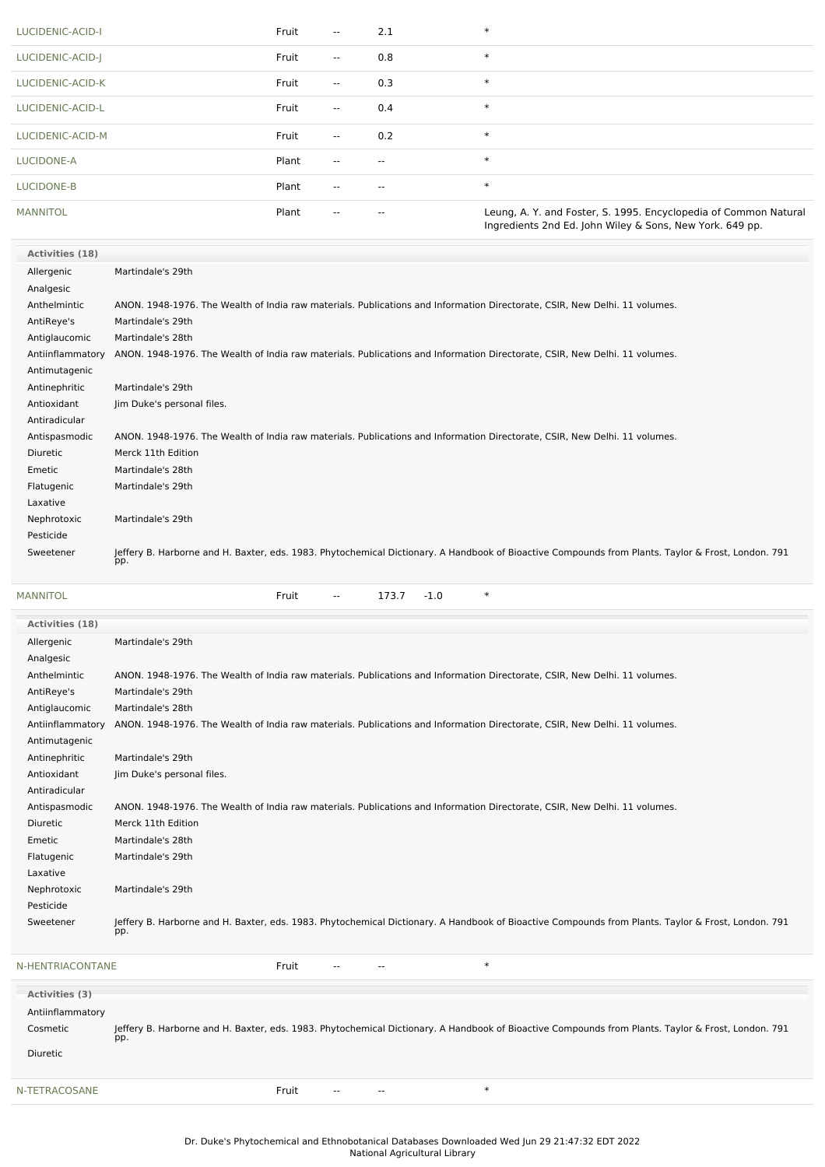| LUCIDENIC-ACID-I  | Fruit | $\overline{\phantom{a}}$ | 2.1   | $\ast$                                                                                                                       |
|-------------------|-------|--------------------------|-------|------------------------------------------------------------------------------------------------------------------------------|
| LUCIDENIC-ACID-J  | Fruit | $\overline{\phantom{a}}$ | 0.8   | $\ast$                                                                                                                       |
| LUCIDENIC-ACID-K  | Fruit | $\overline{\phantom{a}}$ | 0.3   | $\ast$                                                                                                                       |
| LUCIDENIC-ACID-L  | Fruit | $\overline{\phantom{a}}$ | 0.4   | $\ast$                                                                                                                       |
| LUCIDENIC-ACID-M  | Fruit | $\overline{\phantom{a}}$ | 0.2   | $\ast$                                                                                                                       |
| LUCIDONE-A        | Plant | $\overline{\phantom{a}}$ | $- -$ | $\ast$                                                                                                                       |
| <b>LUCIDONE-B</b> | Plant | $\overline{\phantom{a}}$ | $- -$ | $\ast$                                                                                                                       |
| <b>MANNITOL</b>   | Plant | $- -$                    | $-$   | Leung, A. Y. and Foster, S. 1995. Encyclopedia of Common Natural<br>Ingredients 2nd Ed. John Wiley & Sons, New York. 649 pp. |

| Activities (18)  |                                                                                                                                                           |
|------------------|-----------------------------------------------------------------------------------------------------------------------------------------------------------|
| Allergenic       | Martindale's 29th                                                                                                                                         |
| Analgesic        |                                                                                                                                                           |
| Anthelmintic     | ANON. 1948-1976. The Wealth of India raw materials. Publications and Information Directorate, CSIR, New Delhi. 11 volumes.                                |
| AntiReye's       | Martindale's 29th                                                                                                                                         |
| Antiglaucomic    | Martindale's 28th                                                                                                                                         |
| Antiinflammatory | ANON. 1948-1976. The Wealth of India raw materials. Publications and Information Directorate, CSIR, New Delhi. 11 volumes.                                |
| Antimutagenic    |                                                                                                                                                           |
| Antinephritic    | Martindale's 29th                                                                                                                                         |
| Antioxidant      | Jim Duke's personal files.                                                                                                                                |
| Antiradicular    |                                                                                                                                                           |
| Antispasmodic    | ANON. 1948-1976. The Wealth of India raw materials. Publications and Information Directorate, CSIR, New Delhi. 11 volumes.                                |
| Diuretic         | Merck 11th Edition                                                                                                                                        |
| Emetic           | Martindale's 28th                                                                                                                                         |
| Flatugenic       | Martindale's 29th                                                                                                                                         |
| Laxative         |                                                                                                                                                           |
| Nephrotoxic      | Martindale's 29th                                                                                                                                         |
| Pesticide        |                                                                                                                                                           |
| Sweetener        | Jeffery B. Harborne and H. Baxter, eds. 1983. Phytochemical Dictionary. A Handbook of Bioactive Compounds from Plants. Taylor & Frost, London. 791<br>pp. |

[MANNITOL](file:///phytochem/chemicals/show/11950) \* Fruit -- 173.7 -1.0 \* **Activities (18)** Allergenic Martindale's 29th Analgesic Anthelmintic ANON. 1948-1976. The Wealth of India raw materials. Publications and Information Directorate, CSIR, New Delhi. 11 volumes. AntiReye's Martindale's 29th Antiglaucomic Martindale's 28th Antiinflammatory ANON. 1948-1976. The Wealth of India raw materials. Publications and Information Directorate, CSIR, New Delhi. 11 volumes. Antimutagenic Antinephritic Martindale's 29th Antioxidant Jim Duke's personal files. Antiradicular Antispasmodic ANON. 1948-1976. The Wealth of India raw materials. Publications and Information Directorate, CSIR, New Delhi. 11 volumes. Diuretic Merck 11th Edition Emetic Martindale's 28th Flatugenic Martindale's 29th Laxative Nephrotoxic Martindale's 29th Pesticide Sweetener Jeffery B. Harborne and H. Baxter, eds. 1983. Phytochemical Dictionary. A Handbook of Bioactive Compounds from Plants. Taylor & Frost, London. 791 pp. [N-HENTRIACONTANE](file:///phytochem/chemicals/show/13030) Fruit -- -- \*

| Activities (3)<br>Antiinflammatory<br>Cosmetic<br><b>Diuretic</b> | Jeffery B. Harborne and H. Baxter, eds. 1983. Phytochemical Dictionary. A Handbook of Bioactive Compounds from Plants. Taylor & Frost, London. 791<br>pp. |
|-------------------------------------------------------------------|-----------------------------------------------------------------------------------------------------------------------------------------------------------|
| N-TETRACOSANE                                                     | ∗<br>Fruit<br>$- -$<br>$- -$                                                                                                                              |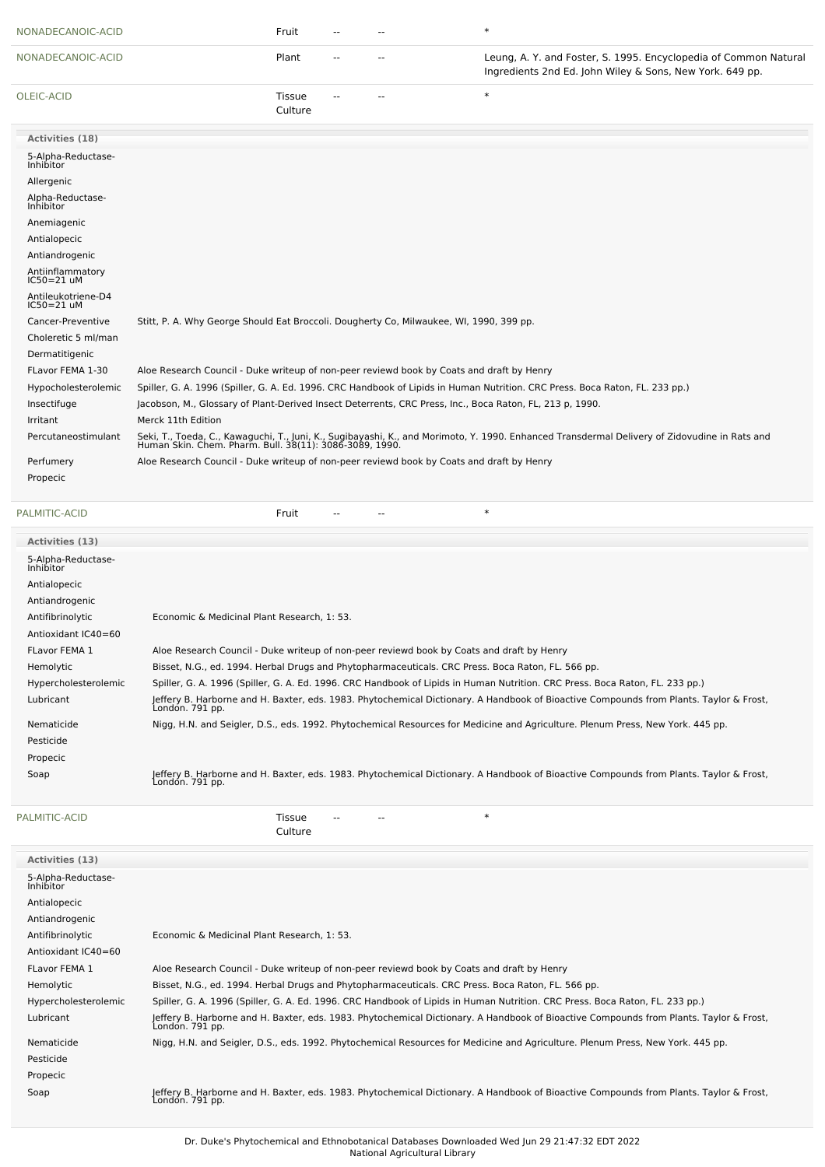| NONADECANOIC-ACID                      |                                                                                                          | Fruit                    |  | $\ast$                                                                                                                                                                                                   |
|----------------------------------------|----------------------------------------------------------------------------------------------------------|--------------------------|--|----------------------------------------------------------------------------------------------------------------------------------------------------------------------------------------------------------|
| NONADECANOIC-ACID                      |                                                                                                          | Plant                    |  | Leung, A. Y. and Foster, S. 1995. Encyclopedia of Common Natural<br>Ingredients 2nd Ed. John Wiley & Sons, New York. 649 pp.                                                                             |
| OLEIC-ACID                             |                                                                                                          | <b>Tissue</b><br>Culture |  | $\ast$                                                                                                                                                                                                   |
| Activities (18)                        |                                                                                                          |                          |  |                                                                                                                                                                                                          |
| 5-Alpha-Reductase-<br><b>Inhibitor</b> |                                                                                                          |                          |  |                                                                                                                                                                                                          |
| Allergenic                             |                                                                                                          |                          |  |                                                                                                                                                                                                          |
| Alpha-Reductase-<br>Inhibitor          |                                                                                                          |                          |  |                                                                                                                                                                                                          |
| Anemiagenic                            |                                                                                                          |                          |  |                                                                                                                                                                                                          |
| Antialopecic                           |                                                                                                          |                          |  |                                                                                                                                                                                                          |
| Antiandrogenic                         |                                                                                                          |                          |  |                                                                                                                                                                                                          |
| Antiinflammatory<br>$IC50 = 21$ uM     |                                                                                                          |                          |  |                                                                                                                                                                                                          |
| Antileukotriene-D4<br>$IC50 = 21$ uM   |                                                                                                          |                          |  |                                                                                                                                                                                                          |
| Cancer-Preventive                      | Stitt, P. A. Why George Should Eat Broccoli. Dougherty Co, Milwaukee, WI, 1990, 399 pp.                  |                          |  |                                                                                                                                                                                                          |
| Choleretic 5 ml/man                    |                                                                                                          |                          |  |                                                                                                                                                                                                          |
| Dermatitigenic                         |                                                                                                          |                          |  |                                                                                                                                                                                                          |
| FLavor FEMA 1-30                       | Aloe Research Council - Duke writeup of non-peer reviewd book by Coats and draft by Henry                |                          |  |                                                                                                                                                                                                          |
| Hypocholesterolemic                    |                                                                                                          |                          |  | Spiller, G. A. 1996 (Spiller, G. A. Ed. 1996. CRC Handbook of Lipids in Human Nutrition. CRC Press. Boca Raton, FL. 233 pp.)                                                                             |
| Insectifuge                            | Jacobson, M., Glossary of Plant-Derived Insect Deterrents, CRC Press, Inc., Boca Raton, FL, 213 p, 1990. |                          |  |                                                                                                                                                                                                          |
| Irritant                               | Merck 11th Edition                                                                                       |                          |  |                                                                                                                                                                                                          |
| Percutaneostimulant                    |                                                                                                          |                          |  | Seki, T., Toeda, C., Kawaguchi, T., Juni, K., Sugibayashi, K., and Morimoto, Y. 1990. Enhanced Transdermal Delivery of Zidovudine in Rats and<br>Human Skin. Chem. Pharm. Bull. 38(11): 3086-3089, 1990. |
| Perfumery                              | Aloe Research Council - Duke writeup of non-peer reviewd book by Coats and draft by Henry                |                          |  |                                                                                                                                                                                                          |
| Propecic                               |                                                                                                          |                          |  |                                                                                                                                                                                                          |
| PALMITIC-ACID                          |                                                                                                          | Fruit                    |  | $\ast$                                                                                                                                                                                                   |

| Activities (13)                 |                                                                                                                                                           |
|---------------------------------|-----------------------------------------------------------------------------------------------------------------------------------------------------------|
| 5-Alpha-Reductase-<br>Inhibitor |                                                                                                                                                           |
| Antialopecic                    |                                                                                                                                                           |
| Antiandrogenic                  |                                                                                                                                                           |
| Antifibrinolytic                | Economic & Medicinal Plant Research, 1: 53.                                                                                                               |
| Antioxidant IC40=60             |                                                                                                                                                           |
| <b>FLavor FEMA 1</b>            | Aloe Research Council - Duke writeup of non-peer reviewd book by Coats and draft by Henry                                                                 |
| Hemolytic                       | Bisset, N.G., ed. 1994. Herbal Drugs and Phytopharmaceuticals. CRC Press. Boca Raton, FL. 566 pp.                                                         |
| Hypercholesterolemic            | Spiller, G. A. 1996 (Spiller, G. A. Ed. 1996. CRC Handbook of Lipids in Human Nutrition. CRC Press. Boca Raton, FL. 233 pp.)                              |
| Lubricant                       | Jeffery B. Harborne and H. Baxter, eds. 1983. Phytochemical Dictionary. A Handbook of Bioactive Compounds from Plants. Taylor & Frost,<br>Londón. 791 pp. |
| Nematicide                      | Nigg, H.N. and Seigler, D.S., eds. 1992. Phytochemical Resources for Medicine and Agriculture. Plenum Press, New York. 445 pp.                            |
| Pesticide                       |                                                                                                                                                           |
| Propecic                        |                                                                                                                                                           |
| Soap                            | Jeffery B. Harborne and H. Baxter, eds. 1983. Phytochemical Dictionary. A Handbook of Bioactive Compounds from Plants. Taylor & Frost,<br>Londón. 791 pp. |

| PALMITIC-ACID                   | $\ast$<br>Tissue<br>Culture                                                                                                                               |
|---------------------------------|-----------------------------------------------------------------------------------------------------------------------------------------------------------|
| Activities (13)                 |                                                                                                                                                           |
| 5-Alpha-Reductase-<br>Inhibitor |                                                                                                                                                           |
| Antialopecic                    |                                                                                                                                                           |
| Antiandrogenic                  |                                                                                                                                                           |
| Antifibrinolytic                | Economic & Medicinal Plant Research, 1: 53.                                                                                                               |
| Antioxidant IC40=60             |                                                                                                                                                           |
| <b>FLavor FEMA 1</b>            | Aloe Research Council - Duke writeup of non-peer reviewd book by Coats and draft by Henry                                                                 |
| Hemolytic                       | Bisset, N.G., ed. 1994. Herbal Drugs and Phytopharmaceuticals. CRC Press. Boca Raton, FL. 566 pp.                                                         |
| Hypercholesterolemic            | Spiller, G. A. 1996 (Spiller, G. A. Ed. 1996. CRC Handbook of Lipids in Human Nutrition. CRC Press. Boca Raton, FL. 233 pp.)                              |
| Lubricant                       | Jeffery B. Harborne and H. Baxter, eds. 1983. Phytochemical Dictionary. A Handbook of Bioactive Compounds from Plants. Taylor & Frost,<br>Londón. 791 pp. |
| Nematicide                      | Nigg, H.N. and Seigler, D.S., eds. 1992. Phytochemical Resources for Medicine and Agriculture. Plenum Press, New York. 445 pp.                            |
| Pesticide                       |                                                                                                                                                           |
| Propecic                        |                                                                                                                                                           |
| Soap                            | Jeffery B. Harborne and H. Baxter, eds. 1983. Phytochemical Dictionary. A Handbook of Bioactive Compounds from Plants. Taylor & Frost,<br>Londón. 791 pp. |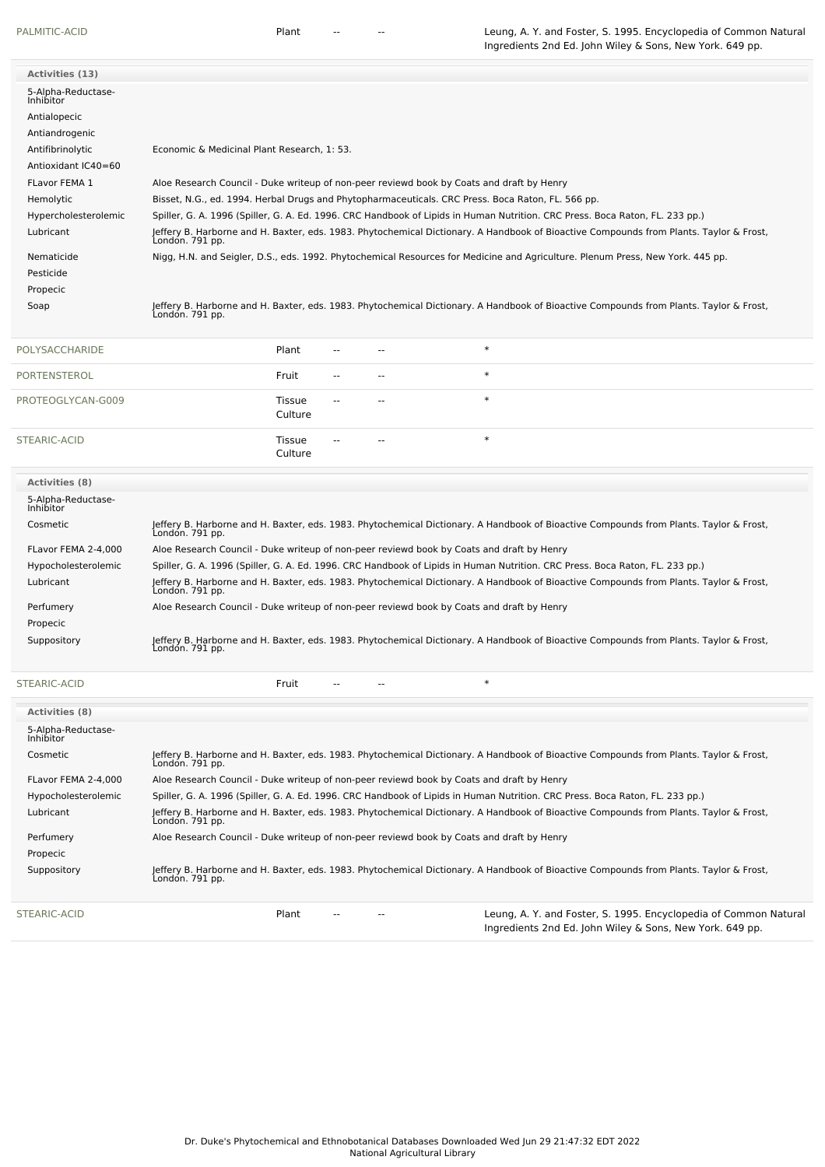[PALMITIC-ACID](file:///phytochem/chemicals/show/13933) **PROTTIC-ACID** Plant -- - - The Leung, A. Y. and Foster, S. 1995. Encyclopedia of Common Natural Ingredients 2nd Ed. John Wiley & Sons, New York. 649 pp.

Ingredients 2nd Ed. John Wiley & Sons, New York. 649 pp.

| <b>Activities (13)</b>                 |                                                                                                                                                           |
|----------------------------------------|-----------------------------------------------------------------------------------------------------------------------------------------------------------|
| 5-Alpha-Reductase-<br><b>Inhibitor</b> |                                                                                                                                                           |
| Antialopecic                           |                                                                                                                                                           |
| Antiandrogenic                         |                                                                                                                                                           |
| Antifibrinolytic                       | Economic & Medicinal Plant Research, 1: 53.                                                                                                               |
| Antioxidant IC40=60                    |                                                                                                                                                           |
| <b>FLavor FEMA 1</b>                   | Aloe Research Council - Duke writeup of non-peer reviewd book by Coats and draft by Henry                                                                 |
| Hemolytic                              | Bisset, N.G., ed. 1994. Herbal Drugs and Phytopharmaceuticals. CRC Press. Boca Raton, FL. 566 pp.                                                         |
| Hypercholesterolemic                   | Spiller, G. A. 1996 (Spiller, G. A. Ed. 1996. CRC Handbook of Lipids in Human Nutrition. CRC Press. Boca Raton, FL. 233 pp.)                              |
| Lubricant                              | Jeffery B. Harborne and H. Baxter, eds. 1983. Phytochemical Dictionary. A Handbook of Bioactive Compounds from Plants. Taylor & Frost,<br>Londón. 791 pp. |
| Nematicide                             | Nigg, H.N. and Seigler, D.S., eds. 1992. Phytochemical Resources for Medicine and Agriculture. Plenum Press, New York. 445 pp.                            |
| Pesticide                              |                                                                                                                                                           |
| Propecic                               |                                                                                                                                                           |
| Soap                                   | Jeffery B. Harborne and H. Baxter, eds. 1983. Phytochemical Dictionary. A Handbook of Bioactive Compounds from Plants. Taylor & Frost,<br>Londón. 791 pp. |

| POLYSACCHARIDE    | Plant             | $\overline{\phantom{a}}$ | $- -$  | $\ast$ |
|-------------------|-------------------|--------------------------|--------|--------|
| PORTENSTEROL      | Fruit             | $\overline{\phantom{a}}$ | $\sim$ | $\ast$ |
| PROTEOGLYCAN-G009 | Tissue<br>Culture | $\overline{\phantom{a}}$ | $- -$  | $\ast$ |
| STEARIC-ACID      | Tissue<br>Culture | $\overline{\phantom{a}}$ | $-$    | ∗      |

| <b>Activities</b> (8)                  |                                                                                                                                                           |
|----------------------------------------|-----------------------------------------------------------------------------------------------------------------------------------------------------------|
| 5-Alpha-Reductase-<br><b>Inhibitor</b> |                                                                                                                                                           |
| Cosmetic                               | Jeffery B. Harborne and H. Baxter, eds. 1983. Phytochemical Dictionary. A Handbook of Bioactive Compounds from Plants. Taylor & Frost,<br>London. 791 pp. |
| FLavor FEMA 2-4.000                    | Aloe Research Council - Duke writeup of non-peer reviewd book by Coats and draft by Henry                                                                 |
| Hypocholesterolemic                    | Spiller, G. A. 1996 (Spiller, G. A. Ed. 1996. CRC Handbook of Lipids in Human Nutrition. CRC Press. Boca Raton, FL. 233 pp.)                              |
| Lubricant                              | Jeffery B. Harborne and H. Baxter, eds. 1983. Phytochemical Dictionary. A Handbook of Bioactive Compounds from Plants. Taylor & Frost,<br>Londón. 791 pp. |
| Perfumery                              | Aloe Research Council - Duke writeup of non-peer reviewd book by Coats and draft by Henry                                                                 |
| Propecic                               |                                                                                                                                                           |
| Suppository                            | leffery B. Harborne and H. Baxter, eds. 1983. Phytochemical Dictionary. A Handbook of Bioactive Compounds from Plants. Taylor & Frost,<br>Londón. 791 pp. |

[STEARIC-ACID](file:///phytochem/chemicals/show/16545) Fruit -- -- \*

| <b>Activities (8)</b>                  |                                                                                                                                                           |  |  |  |  |  |
|----------------------------------------|-----------------------------------------------------------------------------------------------------------------------------------------------------------|--|--|--|--|--|
| 5-Alpha-Reductase-<br><b>Inhibitor</b> |                                                                                                                                                           |  |  |  |  |  |
| Cosmetic                               | Jeffery B. Harborne and H. Baxter, eds. 1983. Phytochemical Dictionary. A Handbook of Bioactive Compounds from Plants. Taylor & Frost,<br>Londón. 791 pp. |  |  |  |  |  |
| FLavor FEMA 2-4.000                    | Aloe Research Council - Duke writeup of non-peer reviewd book by Coats and draft by Henry                                                                 |  |  |  |  |  |
| Hypocholesterolemic                    | Spiller, G. A. 1996 (Spiller, G. A. Ed. 1996. CRC Handbook of Lipids in Human Nutrition. CRC Press. Boca Raton, FL. 233 pp.)                              |  |  |  |  |  |
| Lubricant                              | Jeffery B. Harborne and H. Baxter, eds. 1983. Phytochemical Dictionary. A Handbook of Bioactive Compounds from Plants. Taylor & Frost,<br>London. 791 pp. |  |  |  |  |  |
| Perfumery                              | Aloe Research Council - Duke writeup of non-peer reviewd book by Coats and draft by Henry                                                                 |  |  |  |  |  |
| Propecic                               |                                                                                                                                                           |  |  |  |  |  |
| Suppository                            | leffery B. Harborne and H. Baxter, eds. 1983. Phytochemical Dictionary. A Handbook of Bioactive Compounds from Plants. Taylor & Frost,<br>Londón. 791 pp. |  |  |  |  |  |
| STEARIC-ACID                           | Leung, A. Y. and Foster, S. 1995. Encyclopedia of Common Natural<br>Plant                                                                                 |  |  |  |  |  |